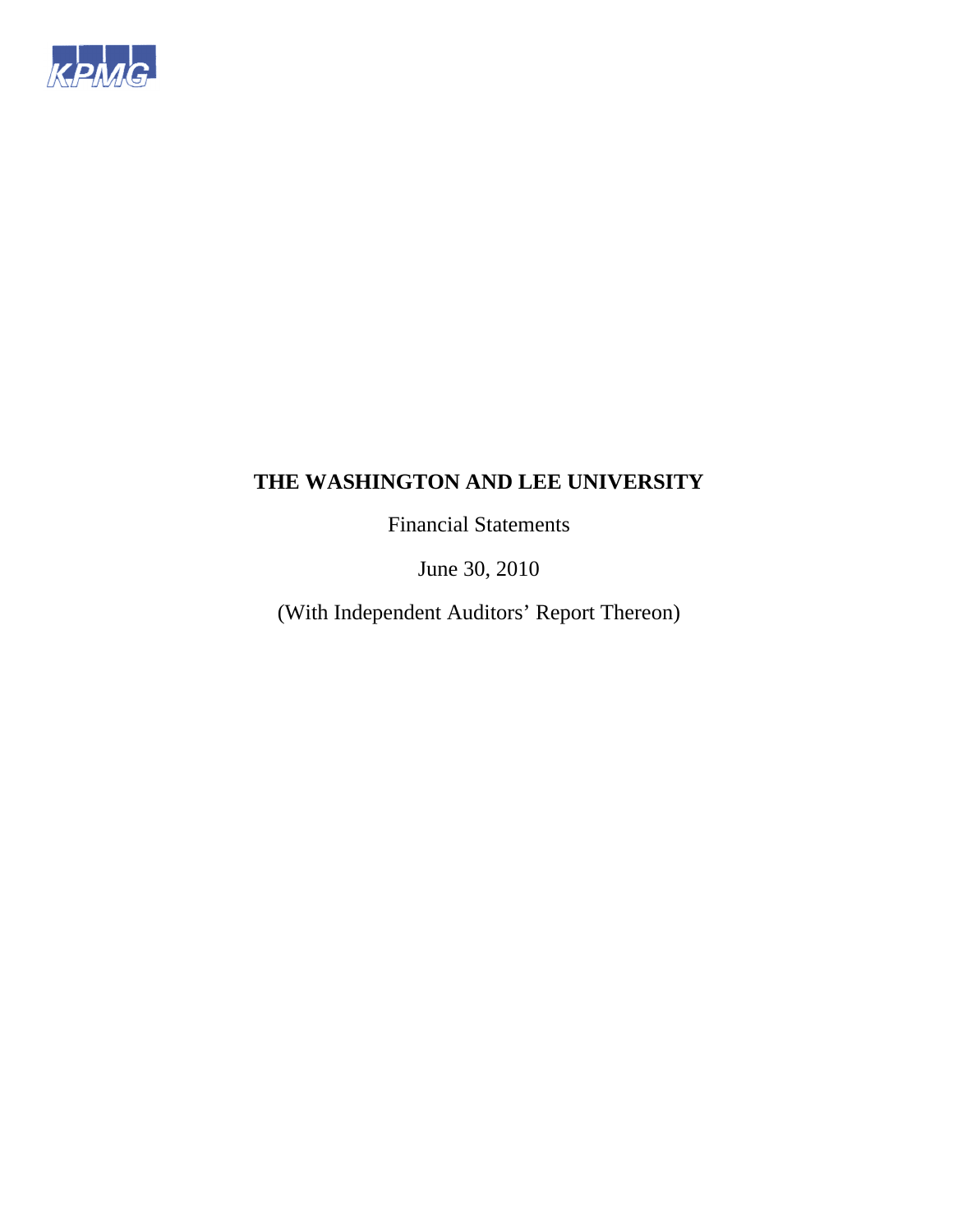

Financial Statements

June 30, 2010

(With Independent Auditors' Report Thereon)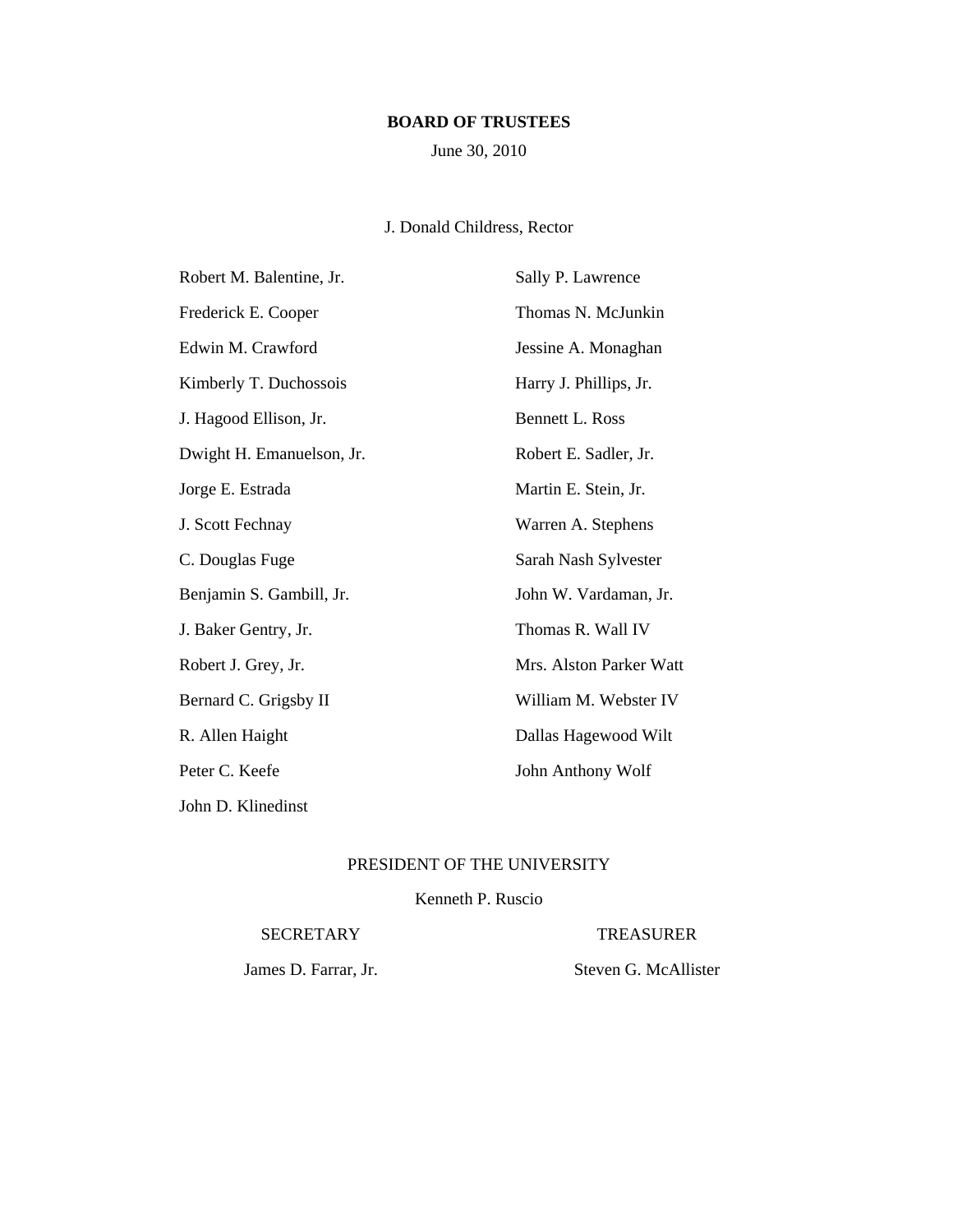# **BOARD OF TRUSTEES**

June 30, 2010

# J. Donald Childress, Rector

| Robert M. Balentine, Jr.  | Sally P. Lawrence       |
|---------------------------|-------------------------|
| Frederick E. Cooper       | Thomas N. McJunkin      |
| Edwin M. Crawford         | Jessine A. Monaghan     |
| Kimberly T. Duchossois    | Harry J. Phillips, Jr.  |
| J. Hagood Ellison, Jr.    | <b>Bennett L. Ross</b>  |
| Dwight H. Emanuelson, Jr. | Robert E. Sadler, Jr.   |
| Jorge E. Estrada          | Martin E. Stein, Jr.    |
| J. Scott Fechnay          | Warren A. Stephens      |
| C. Douglas Fuge           | Sarah Nash Sylvester    |
| Benjamin S. Gambill, Jr.  | John W. Vardaman, Jr.   |
| J. Baker Gentry, Jr.      | Thomas R. Wall IV       |
| Robert J. Grey, Jr.       | Mrs. Alston Parker Watt |
| Bernard C. Grigsby II     | William M. Webster IV   |
| R. Allen Haight           | Dallas Hagewood Wilt    |
| Peter C. Keefe            | John Anthony Wolf       |
| John D. Klinedinst        |                         |

# PRESIDENT OF THE UNIVERSITY

# Kenneth P. Ruscio

#### SECRETARY TREASURER

James D. Farrar, Jr. Steven G. McAllister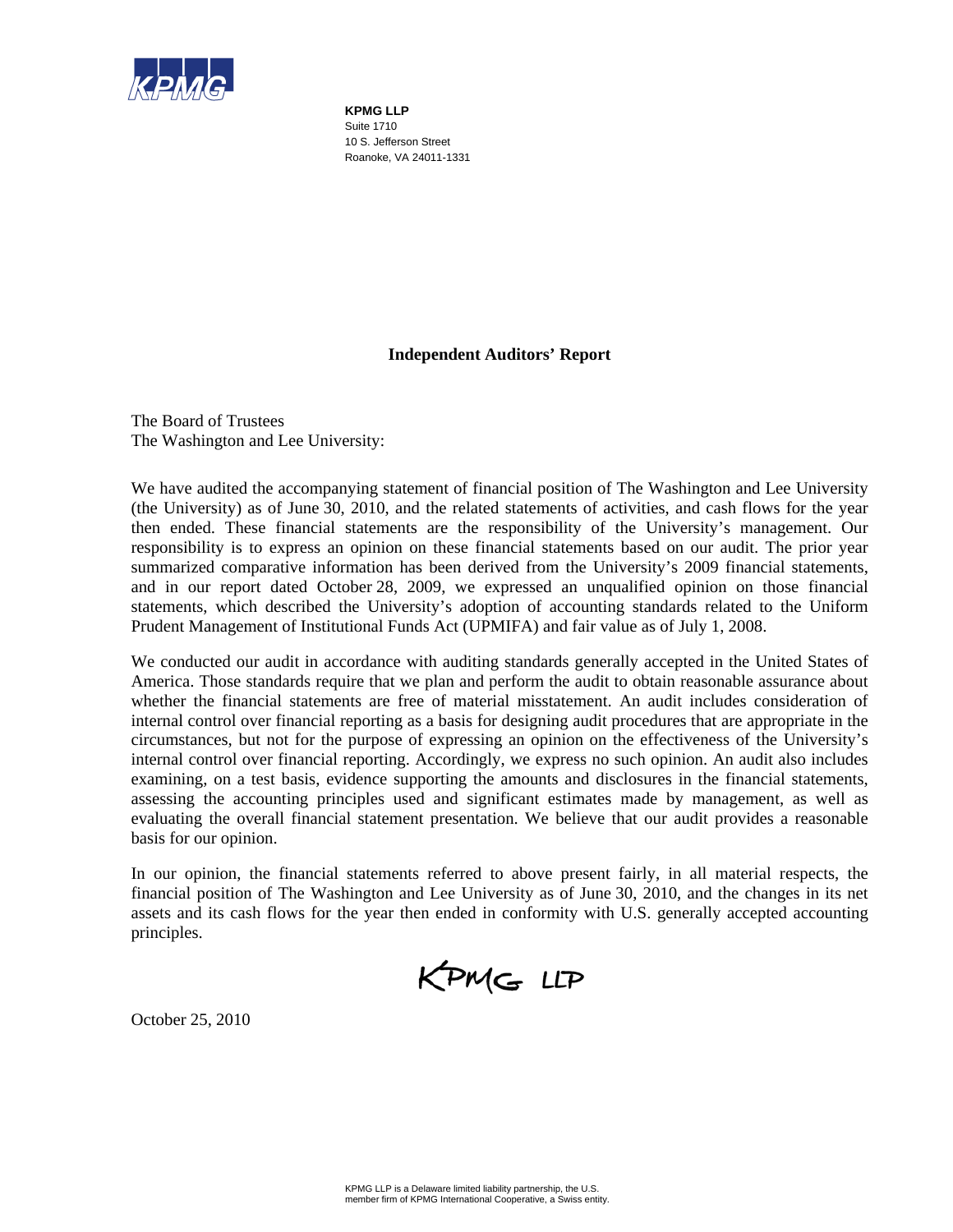

**KPMG LLP**  Suite 1710 10 S. Jefferson Street Roanoke, VA 24011-1331

# **Independent Auditors' Report**

The Board of Trustees The Washington and Lee University:

We have audited the accompanying statement of financial position of The Washington and Lee University (the University) as of June 30, 2010, and the related statements of activities, and cash flows for the year then ended. These financial statements are the responsibility of the University's management. Our responsibility is to express an opinion on these financial statements based on our audit. The prior year summarized comparative information has been derived from the University's 2009 financial statements, and in our report dated October 28, 2009, we expressed an unqualified opinion on those financial statements, which described the University's adoption of accounting standards related to the Uniform Prudent Management of Institutional Funds Act (UPMIFA) and fair value as of July 1, 2008.

We conducted our audit in accordance with auditing standards generally accepted in the United States of America. Those standards require that we plan and perform the audit to obtain reasonable assurance about whether the financial statements are free of material misstatement. An audit includes consideration of internal control over financial reporting as a basis for designing audit procedures that are appropriate in the circumstances, but not for the purpose of expressing an opinion on the effectiveness of the University's internal control over financial reporting. Accordingly, we express no such opinion. An audit also includes examining, on a test basis, evidence supporting the amounts and disclosures in the financial statements, assessing the accounting principles used and significant estimates made by management, as well as evaluating the overall financial statement presentation. We believe that our audit provides a reasonable basis for our opinion.

In our opinion, the financial statements referred to above present fairly, in all material respects, the financial position of The Washington and Lee University as of June 30, 2010, and the changes in its net assets and its cash flows for the year then ended in conformity with U.S. generally accepted accounting principles.

KPMG LLP

October 25, 2010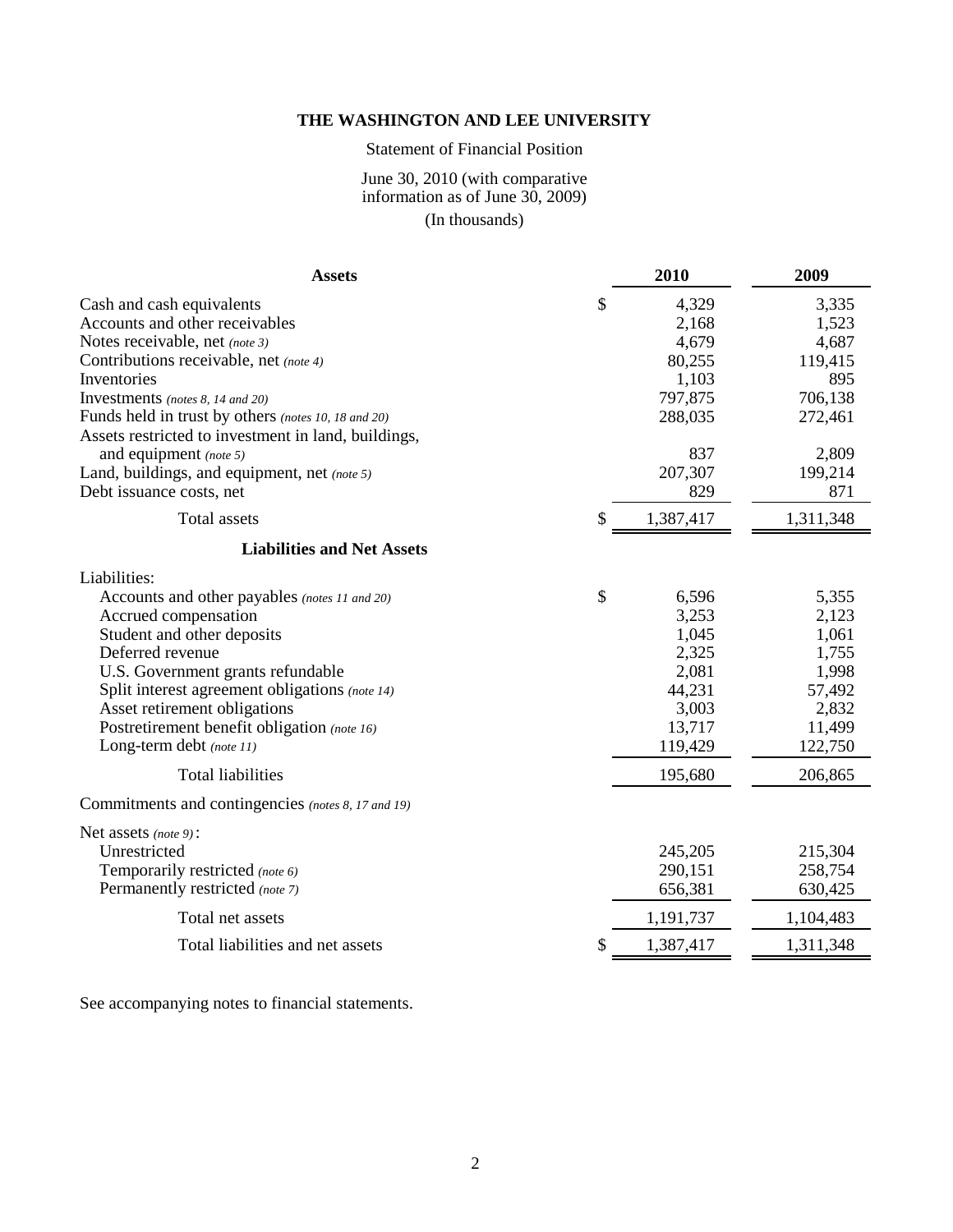# Statement of Financial Position

# June 30, 2010 (with comparative information as of June 30, 2009) (In thousands)

| <b>Assets</b>                                                                                                                                                                                                                                                                                                                                                                                                  | 2010                                                                                               | 2009                                                                                         |
|----------------------------------------------------------------------------------------------------------------------------------------------------------------------------------------------------------------------------------------------------------------------------------------------------------------------------------------------------------------------------------------------------------------|----------------------------------------------------------------------------------------------------|----------------------------------------------------------------------------------------------|
| Cash and cash equivalents<br>Accounts and other receivables<br>Notes receivable, net (note 3)<br>Contributions receivable, net (note 4)<br>Inventories<br>Investments (notes 8, 14 and 20)<br>Funds held in trust by others (notes 10, 18 and 20)<br>Assets restricted to investment in land, buildings,<br>and equipment (note 5)<br>Land, buildings, and equipment, net (note 5)<br>Debt issuance costs, net | \$<br>4,329<br>2,168<br>4,679<br>80,255<br>1,103<br>797,875<br>288,035<br>837<br>207,307<br>829    | 3,335<br>1,523<br>4,687<br>119,415<br>895<br>706,138<br>272,461<br>2,809<br>199,214<br>871   |
| Total assets                                                                                                                                                                                                                                                                                                                                                                                                   | \$<br>1,387,417                                                                                    | 1,311,348                                                                                    |
| <b>Liabilities and Net Assets</b>                                                                                                                                                                                                                                                                                                                                                                              |                                                                                                    |                                                                                              |
| Liabilities:<br>Accounts and other payables (notes 11 and 20)<br>Accrued compensation<br>Student and other deposits<br>Deferred revenue<br>U.S. Government grants refundable<br>Split interest agreement obligations (note 14)<br>Asset retirement obligations<br>Postretirement benefit obligation (note 16)<br>Long-term debt (note 11)<br><b>Total liabilities</b>                                          | \$<br>6,596<br>3,253<br>1,045<br>2,325<br>2,081<br>44,231<br>3,003<br>13,717<br>119,429<br>195,680 | 5,355<br>2,123<br>1,061<br>1,755<br>1,998<br>57,492<br>2,832<br>11,499<br>122,750<br>206,865 |
| Commitments and contingencies (notes 8, 17 and 19)                                                                                                                                                                                                                                                                                                                                                             |                                                                                                    |                                                                                              |
| Net assets (note 9):<br>Unrestricted<br>Temporarily restricted (note 6)<br>Permanently restricted (note 7)<br>Total net assets                                                                                                                                                                                                                                                                                 | 245,205<br>290,151<br>656,381<br>1,191,737                                                         | 215,304<br>258,754<br>630,425<br>1,104,483                                                   |
| Total liabilities and net assets                                                                                                                                                                                                                                                                                                                                                                               | \$<br>1,387,417                                                                                    | 1,311,348                                                                                    |
|                                                                                                                                                                                                                                                                                                                                                                                                                |                                                                                                    |                                                                                              |

See accompanying notes to financial statements.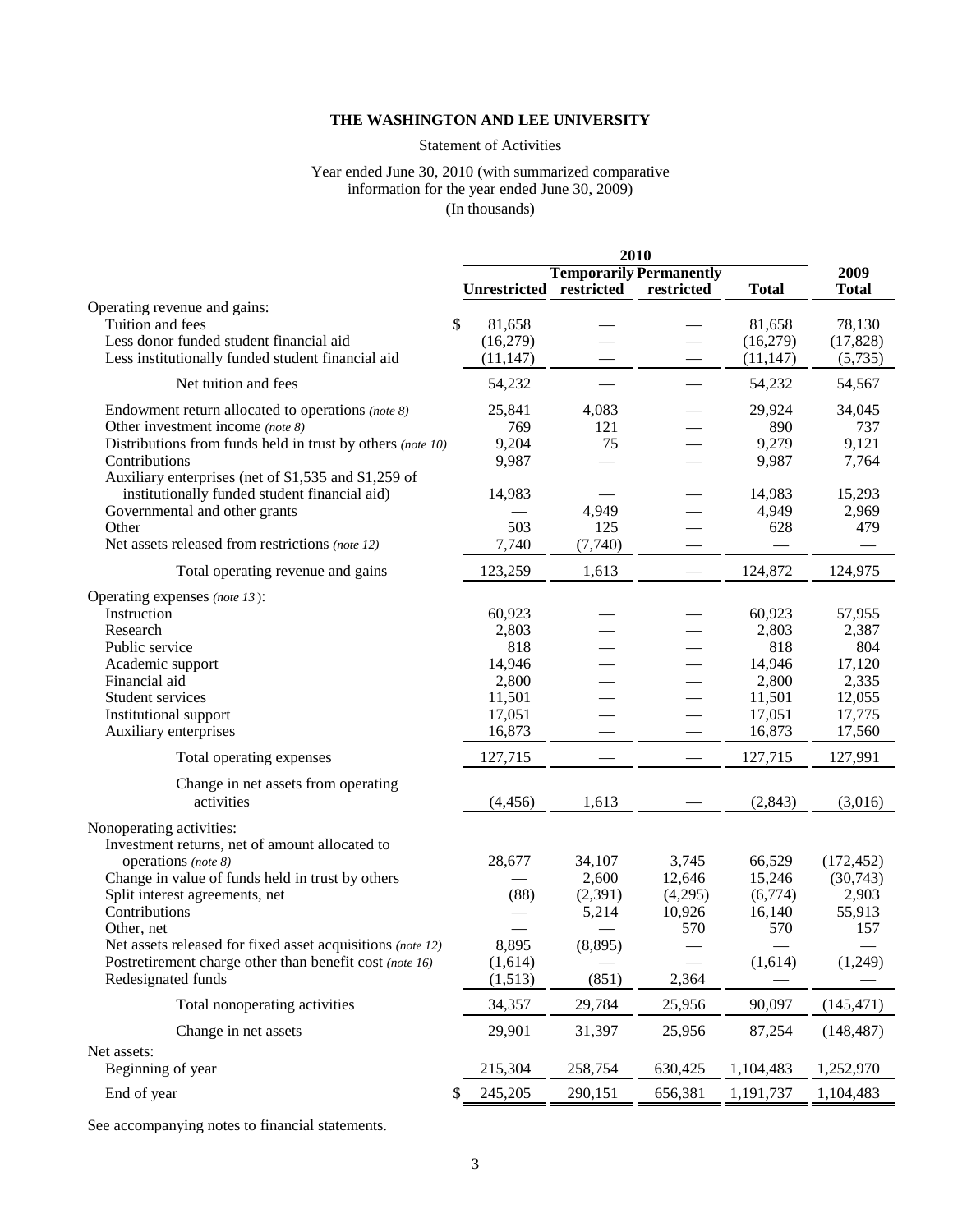# Statement of Activities

#### Year ended June 30, 2010 (with summarized comparative information for the year ended June 30, 2009) (In thousands)

|                                                            | 2010          |                                |            |              |              |
|------------------------------------------------------------|---------------|--------------------------------|------------|--------------|--------------|
|                                                            |               | <b>Temporarily Permanently</b> |            |              | 2009         |
|                                                            |               | Unrestricted restricted        | restricted | <b>Total</b> | <b>Total</b> |
| Operating revenue and gains:                               |               |                                |            |              |              |
| Tuition and fees                                           | \$<br>81,658  |                                |            | 81,658       | 78,130       |
| Less donor funded student financial aid                    | (16,279)      |                                |            | (16,279)     | (17, 828)    |
| Less institutionally funded student financial aid          | (11, 147)     |                                |            | (11, 147)    | (5,735)      |
| Net tuition and fees                                       | 54,232        |                                |            | 54,232       | 54,567       |
| Endowment return allocated to operations (note 8)          | 25,841        | 4,083                          |            | 29,924       | 34,045       |
| Other investment income (note 8)                           | 769           | 121                            |            | 890          | 737          |
| Distributions from funds held in trust by others (note 10) | 9,204         | 75                             |            | 9,279        | 9,121        |
| Contributions                                              | 9,987         |                                |            | 9,987        | 7,764        |
| Auxiliary enterprises (net of \$1,535 and \$1,259 of       |               |                                |            |              |              |
| institutionally funded student financial aid)              | 14,983        |                                |            | 14,983       | 15,293       |
| Governmental and other grants                              |               | 4,949                          |            | 4,949        | 2,969        |
| Other                                                      | 503           | 125                            |            | 628          | 479          |
| Net assets released from restrictions (note 12)            | 7,740         | (7,740)                        |            |              |              |
| Total operating revenue and gains                          | 123,259       | 1,613                          |            | 124,872      | 124,975      |
| Operating expenses (note 13):                              |               |                                |            |              |              |
| Instruction                                                | 60,923        |                                |            | 60,923       | 57,955       |
| Research                                                   | 2,803         |                                |            | 2,803        | 2,387        |
| Public service                                             | 818           |                                |            | 818          | 804          |
| Academic support                                           | 14,946        |                                |            | 14,946       | 17,120       |
| Financial aid                                              | 2,800         |                                |            | 2,800        | 2,335        |
| Student services                                           | 11,501        |                                |            | 11,501       | 12,055       |
| Institutional support                                      | 17,051        |                                |            | 17,051       | 17,775       |
| Auxiliary enterprises                                      | 16,873        |                                |            | 16,873       | 17,560       |
| Total operating expenses                                   | 127,715       |                                |            | 127,715      | 127,991      |
| Change in net assets from operating                        |               |                                |            |              |              |
| activities                                                 | (4, 456)      | 1,613                          |            | (2, 843)     | (3,016)      |
| Nonoperating activities:                                   |               |                                |            |              |              |
| Investment returns, net of amount allocated to             |               |                                |            |              |              |
| operations (note 8)                                        | 28,677        | 34,107                         | 3,745      | 66,529       | (172, 452)   |
| Change in value of funds held in trust by others           |               | 2,600                          | 12,646     | 15,246       | (30,743)     |
| Split interest agreements, net                             | (88)          | (2,391)                        | (4,295)    | (6,774)      | 2,903        |
| Contributions                                              |               | 5,214                          | 10,926     | 16,140       | 55,913       |
| Other, net                                                 |               |                                | 570        | 570          | 157          |
| Net assets released for fixed asset acquisitions (note 12) | 8,895         | (8,895)                        |            |              |              |
| Postretirement charge other than benefit cost (note 16)    | (1,614)       |                                |            | (1,614)      | (1,249)      |
| Redesignated funds                                         | (1,513)       | (851)                          | 2,364      |              |              |
| Total nonoperating activities                              | 34,357        | 29,784                         | 25,956     | 90,097       | (145, 471)   |
| Change in net assets                                       | 29,901        | 31,397                         | 25,956     | 87,254       | (148, 487)   |
| Net assets:                                                |               |                                |            |              |              |
| Beginning of year                                          | 215,304       | 258,754                        | 630,425    | 1,104,483    | 1,252,970    |
| End of year                                                | \$<br>245,205 | 290,151                        | 656,381    | 1,191,737    | 1,104,483    |

See accompanying notes to financial statements.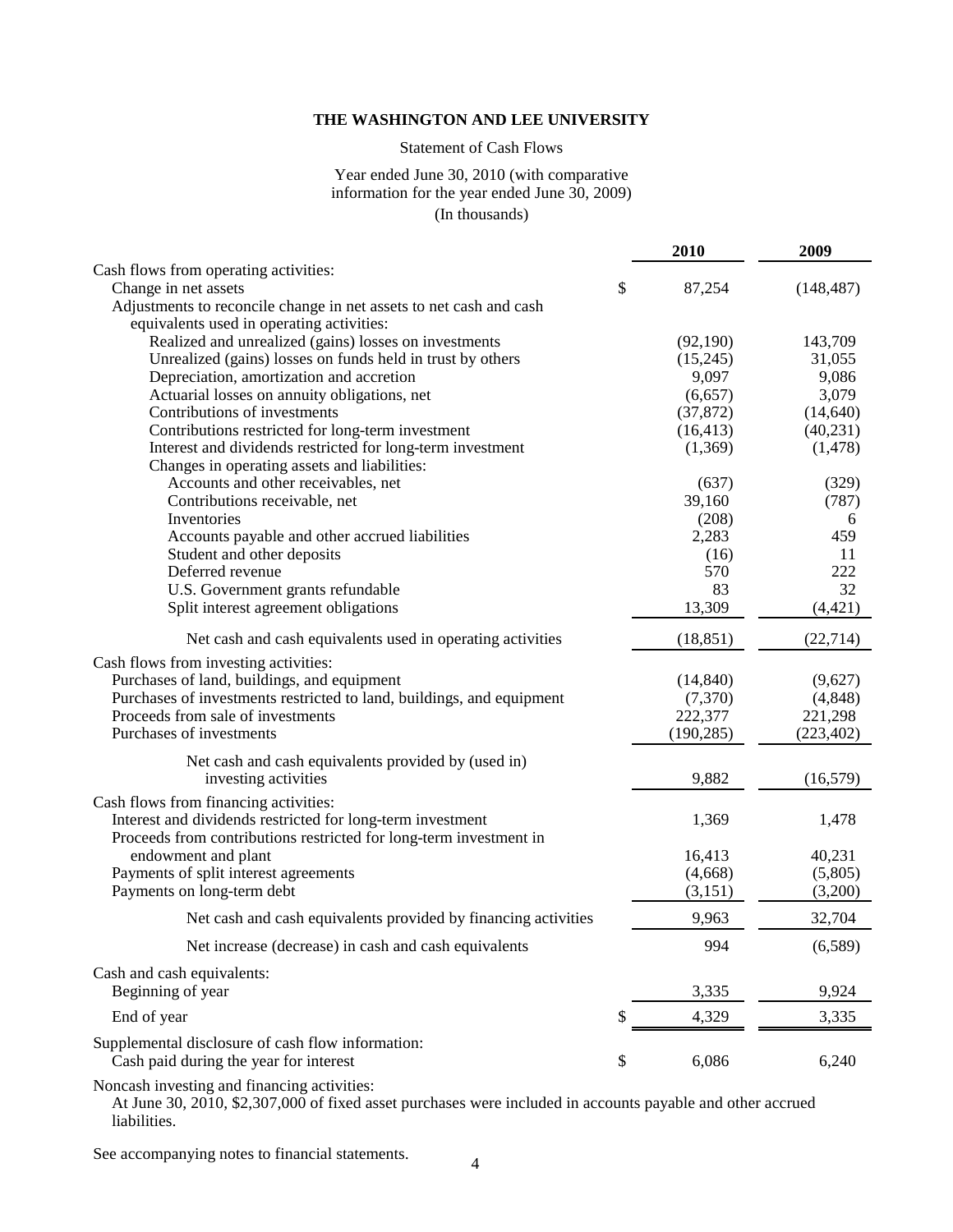# Statement of Cash Flows

#### Year ended June 30, 2010 (with comparative information for the year ended June 30, 2009) (In thousands)

|                                                                                                                                  | 2010         | 2009       |
|----------------------------------------------------------------------------------------------------------------------------------|--------------|------------|
| Cash flows from operating activities:                                                                                            |              |            |
| Change in net assets                                                                                                             | \$<br>87,254 | (148, 487) |
| Adjustments to reconcile change in net assets to net cash and cash                                                               |              |            |
| equivalents used in operating activities:                                                                                        |              |            |
| Realized and unrealized (gains) losses on investments                                                                            | (92,190)     | 143,709    |
| Unrealized (gains) losses on funds held in trust by others                                                                       | (15,245)     | 31,055     |
| Depreciation, amortization and accretion                                                                                         | 9,097        | 9,086      |
| Actuarial losses on annuity obligations, net                                                                                     | (6,657)      | 3,079      |
| Contributions of investments                                                                                                     | (37, 872)    | (14, 640)  |
| Contributions restricted for long-term investment                                                                                | (16, 413)    | (40, 231)  |
| Interest and dividends restricted for long-term investment                                                                       | (1,369)      | (1, 478)   |
| Changes in operating assets and liabilities:                                                                                     |              |            |
| Accounts and other receivables, net                                                                                              | (637)        | (329)      |
| Contributions receivable, net                                                                                                    | 39,160       | (787)      |
| Inventories                                                                                                                      | (208)        | 6          |
| Accounts payable and other accrued liabilities                                                                                   | 2,283        | 459        |
| Student and other deposits                                                                                                       | (16)         | 11         |
| Deferred revenue                                                                                                                 | 570          | 222        |
| U.S. Government grants refundable                                                                                                | 83           | 32         |
| Split interest agreement obligations                                                                                             | 13,309       | (4, 421)   |
| Net cash and cash equivalents used in operating activities                                                                       | (18, 851)    | (22, 714)  |
| Cash flows from investing activities:                                                                                            |              |            |
| Purchases of land, buildings, and equipment                                                                                      | (14, 840)    | (9,627)    |
| Purchases of investments restricted to land, buildings, and equipment                                                            | (7,370)      | (4,848)    |
| Proceeds from sale of investments                                                                                                | 222,377      | 221,298    |
| Purchases of investments                                                                                                         | (190, 285)   | (223, 402) |
| Net cash and cash equivalents provided by (used in)                                                                              |              |            |
| investing activities                                                                                                             | 9,882        | (16, 579)  |
| Cash flows from financing activities:                                                                                            |              |            |
| Interest and dividends restricted for long-term investment<br>Proceeds from contributions restricted for long-term investment in | 1,369        | 1,478      |
| endowment and plant                                                                                                              | 16,413       | 40,231     |
| Payments of split interest agreements                                                                                            | (4,668)      | (5,805)    |
| Payments on long-term debt                                                                                                       | (3,151)      | (3,200)    |
| Net cash and cash equivalents provided by financing activities                                                                   | 9,963        | 32,704     |
|                                                                                                                                  |              |            |
| Net increase (decrease) in cash and cash equivalents                                                                             | 994          | (6,589)    |
| Cash and cash equivalents:<br>Beginning of year                                                                                  |              |            |
|                                                                                                                                  | 3,335        | 9,924      |
| End of year                                                                                                                      | \$<br>4,329  | 3,335      |
| Supplemental disclosure of cash flow information:<br>Cash paid during the year for interest                                      | \$<br>6,086  | 6,240      |
|                                                                                                                                  |              |            |

Noncash investing and financing activities:

At June 30, 2010, \$2,307,000 of fixed asset purchases were included in accounts payable and other accrued liabilities.

See accompanying notes to financial statements.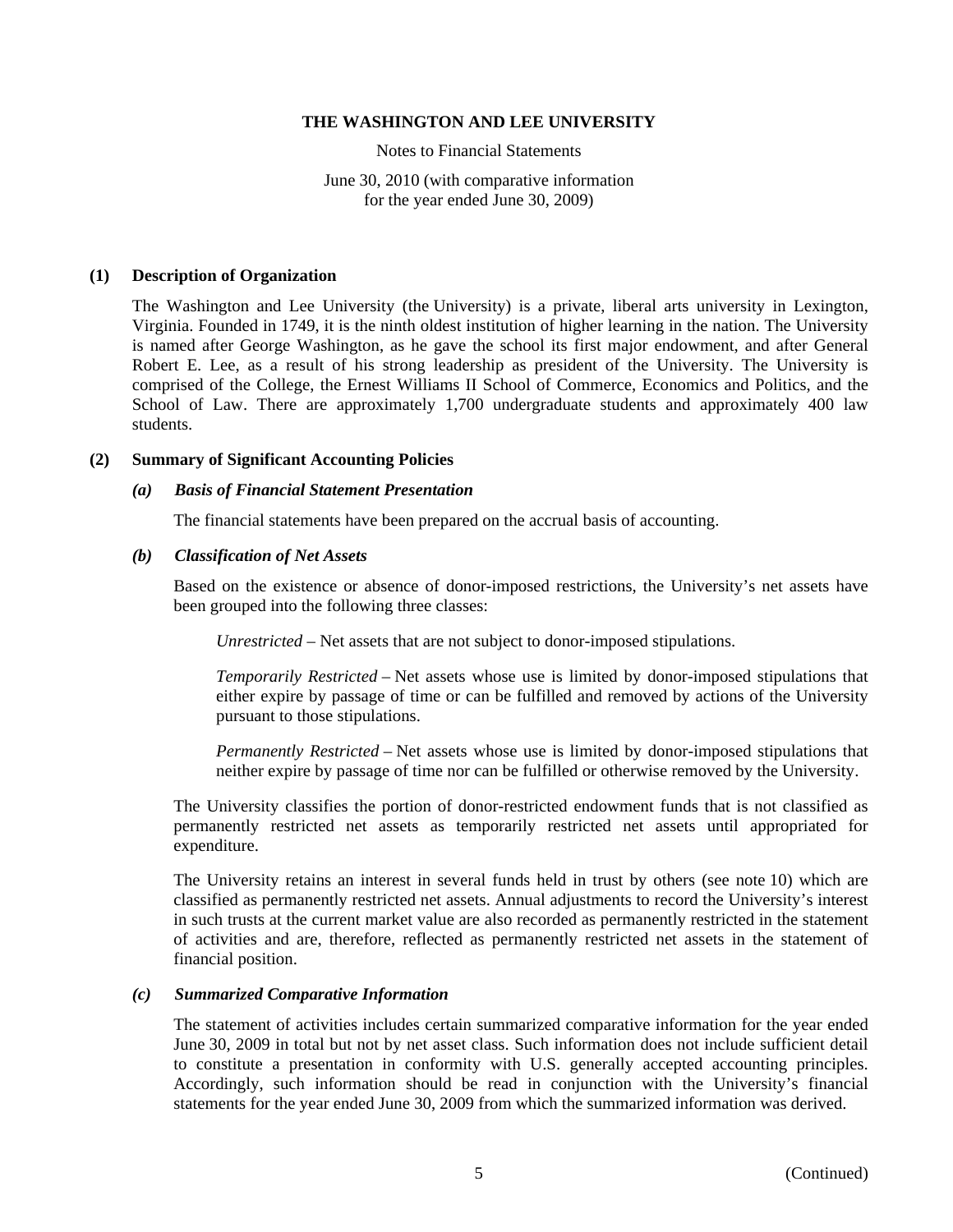Notes to Financial Statements

June 30, 2010 (with comparative information for the year ended June 30, 2009)

#### **(1) Description of Organization**

The Washington and Lee University (the University) is a private, liberal arts university in Lexington, Virginia. Founded in 1749, it is the ninth oldest institution of higher learning in the nation. The University is named after George Washington, as he gave the school its first major endowment, and after General Robert E. Lee, as a result of his strong leadership as president of the University. The University is comprised of the College, the Ernest Williams II School of Commerce, Economics and Politics, and the School of Law. There are approximately 1,700 undergraduate students and approximately 400 law students.

#### **(2) Summary of Significant Accounting Policies**

#### *(a) Basis of Financial Statement Presentation*

The financial statements have been prepared on the accrual basis of accounting.

#### *(b) Classification of Net Assets*

Based on the existence or absence of donor-imposed restrictions, the University's net assets have been grouped into the following three classes:

*Unrestricted* – Net assets that are not subject to donor-imposed stipulations.

*Temporarily Restricted* – Net assets whose use is limited by donor-imposed stipulations that either expire by passage of time or can be fulfilled and removed by actions of the University pursuant to those stipulations.

*Permanently Restricted* – Net assets whose use is limited by donor-imposed stipulations that neither expire by passage of time nor can be fulfilled or otherwise removed by the University.

The University classifies the portion of donor-restricted endowment funds that is not classified as permanently restricted net assets as temporarily restricted net assets until appropriated for expenditure.

The University retains an interest in several funds held in trust by others (see note 10) which are classified as permanently restricted net assets. Annual adjustments to record the University's interest in such trusts at the current market value are also recorded as permanently restricted in the statement of activities and are, therefore, reflected as permanently restricted net assets in the statement of financial position.

#### *(c) Summarized Comparative Information*

The statement of activities includes certain summarized comparative information for the year ended June 30, 2009 in total but not by net asset class. Such information does not include sufficient detail to constitute a presentation in conformity with U.S. generally accepted accounting principles. Accordingly, such information should be read in conjunction with the University's financial statements for the year ended June 30, 2009 from which the summarized information was derived.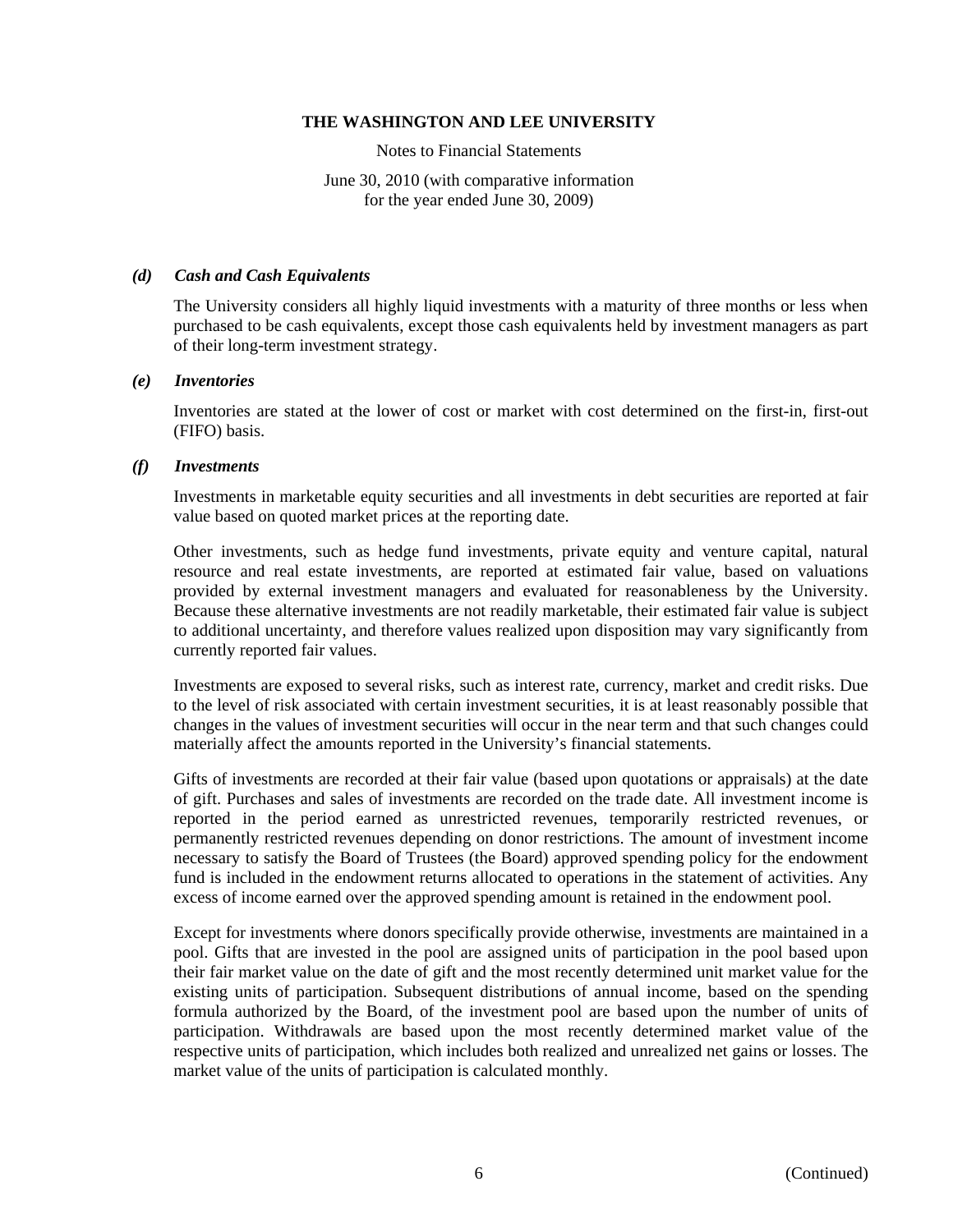Notes to Financial Statements

June 30, 2010 (with comparative information for the year ended June 30, 2009)

# *(d) Cash and Cash Equivalents*

The University considers all highly liquid investments with a maturity of three months or less when purchased to be cash equivalents, except those cash equivalents held by investment managers as part of their long-term investment strategy.

# *(e) Inventories*

Inventories are stated at the lower of cost or market with cost determined on the first-in, first-out (FIFO) basis.

# *(f) Investments*

Investments in marketable equity securities and all investments in debt securities are reported at fair value based on quoted market prices at the reporting date.

Other investments, such as hedge fund investments, private equity and venture capital, natural resource and real estate investments, are reported at estimated fair value, based on valuations provided by external investment managers and evaluated for reasonableness by the University. Because these alternative investments are not readily marketable, their estimated fair value is subject to additional uncertainty, and therefore values realized upon disposition may vary significantly from currently reported fair values.

Investments are exposed to several risks, such as interest rate, currency, market and credit risks. Due to the level of risk associated with certain investment securities, it is at least reasonably possible that changes in the values of investment securities will occur in the near term and that such changes could materially affect the amounts reported in the University's financial statements.

Gifts of investments are recorded at their fair value (based upon quotations or appraisals) at the date of gift. Purchases and sales of investments are recorded on the trade date. All investment income is reported in the period earned as unrestricted revenues, temporarily restricted revenues, or permanently restricted revenues depending on donor restrictions. The amount of investment income necessary to satisfy the Board of Trustees (the Board) approved spending policy for the endowment fund is included in the endowment returns allocated to operations in the statement of activities. Any excess of income earned over the approved spending amount is retained in the endowment pool.

Except for investments where donors specifically provide otherwise, investments are maintained in a pool. Gifts that are invested in the pool are assigned units of participation in the pool based upon their fair market value on the date of gift and the most recently determined unit market value for the existing units of participation. Subsequent distributions of annual income, based on the spending formula authorized by the Board, of the investment pool are based upon the number of units of participation. Withdrawals are based upon the most recently determined market value of the respective units of participation, which includes both realized and unrealized net gains or losses. The market value of the units of participation is calculated monthly.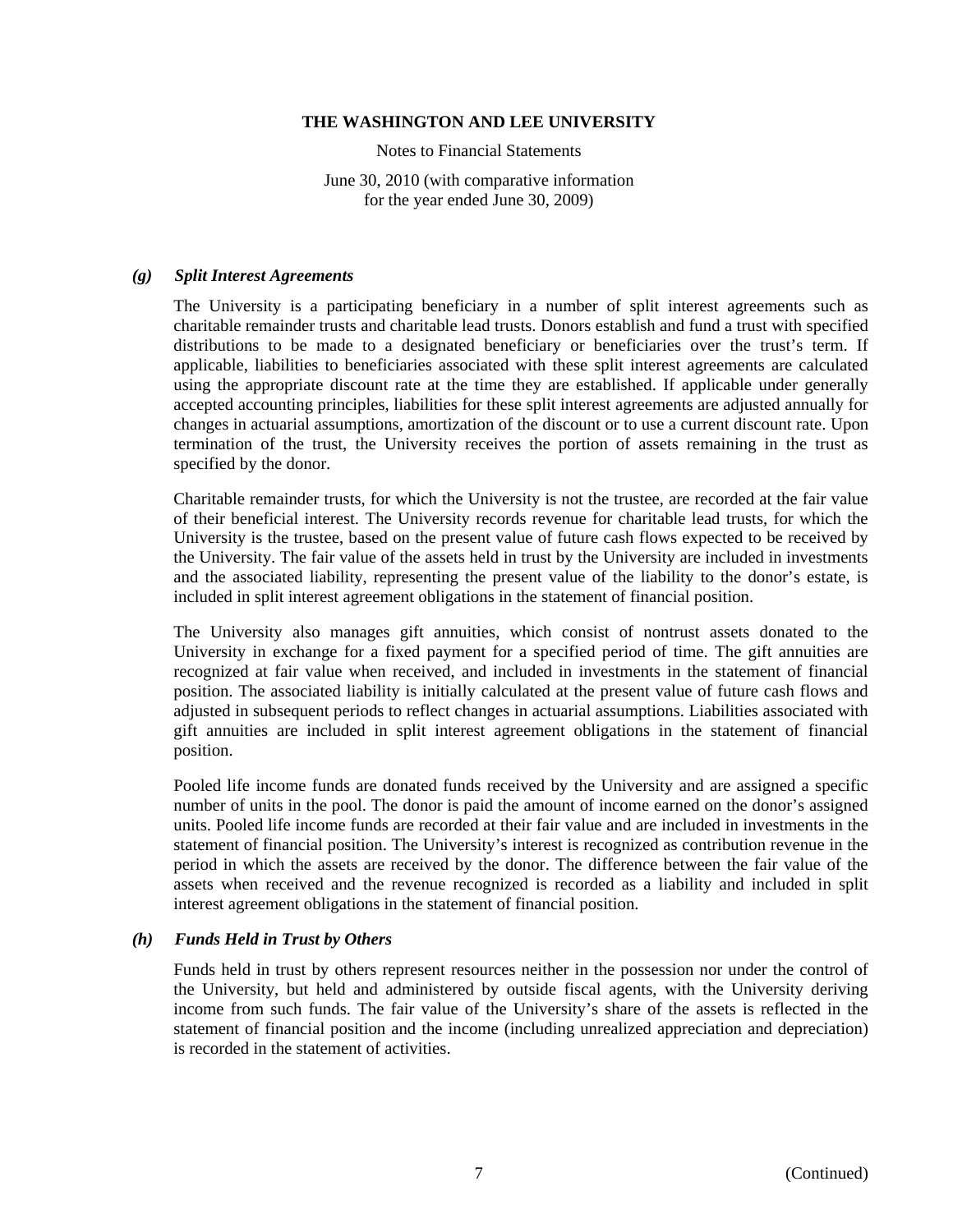Notes to Financial Statements

June 30, 2010 (with comparative information for the year ended June 30, 2009)

#### *(g) Split Interest Agreements*

The University is a participating beneficiary in a number of split interest agreements such as charitable remainder trusts and charitable lead trusts. Donors establish and fund a trust with specified distributions to be made to a designated beneficiary or beneficiaries over the trust's term. If applicable, liabilities to beneficiaries associated with these split interest agreements are calculated using the appropriate discount rate at the time they are established. If applicable under generally accepted accounting principles, liabilities for these split interest agreements are adjusted annually for changes in actuarial assumptions, amortization of the discount or to use a current discount rate. Upon termination of the trust, the University receives the portion of assets remaining in the trust as specified by the donor.

Charitable remainder trusts, for which the University is not the trustee, are recorded at the fair value of their beneficial interest. The University records revenue for charitable lead trusts, for which the University is the trustee, based on the present value of future cash flows expected to be received by the University. The fair value of the assets held in trust by the University are included in investments and the associated liability, representing the present value of the liability to the donor's estate, is included in split interest agreement obligations in the statement of financial position.

The University also manages gift annuities, which consist of nontrust assets donated to the University in exchange for a fixed payment for a specified period of time. The gift annuities are recognized at fair value when received, and included in investments in the statement of financial position. The associated liability is initially calculated at the present value of future cash flows and adjusted in subsequent periods to reflect changes in actuarial assumptions. Liabilities associated with gift annuities are included in split interest agreement obligations in the statement of financial position.

Pooled life income funds are donated funds received by the University and are assigned a specific number of units in the pool. The donor is paid the amount of income earned on the donor's assigned units. Pooled life income funds are recorded at their fair value and are included in investments in the statement of financial position. The University's interest is recognized as contribution revenue in the period in which the assets are received by the donor. The difference between the fair value of the assets when received and the revenue recognized is recorded as a liability and included in split interest agreement obligations in the statement of financial position.

# *(h) Funds Held in Trust by Others*

Funds held in trust by others represent resources neither in the possession nor under the control of the University, but held and administered by outside fiscal agents, with the University deriving income from such funds. The fair value of the University's share of the assets is reflected in the statement of financial position and the income (including unrealized appreciation and depreciation) is recorded in the statement of activities.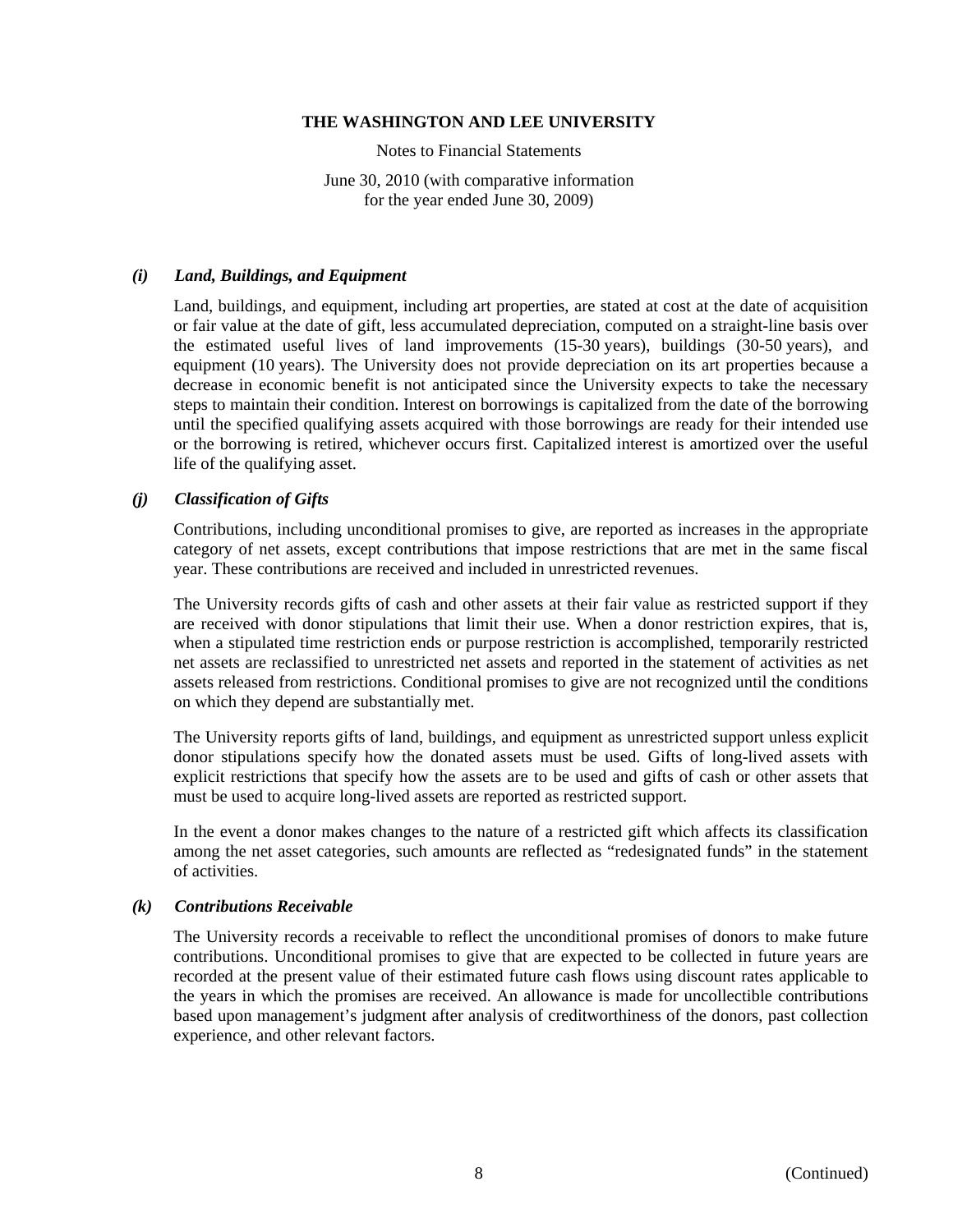Notes to Financial Statements

June 30, 2010 (with comparative information for the year ended June 30, 2009)

#### *(i) Land, Buildings, and Equipment*

Land, buildings, and equipment, including art properties, are stated at cost at the date of acquisition or fair value at the date of gift, less accumulated depreciation, computed on a straight-line basis over the estimated useful lives of land improvements (15-30 years), buildings (30-50 years), and equipment (10 years). The University does not provide depreciation on its art properties because a decrease in economic benefit is not anticipated since the University expects to take the necessary steps to maintain their condition. Interest on borrowings is capitalized from the date of the borrowing until the specified qualifying assets acquired with those borrowings are ready for their intended use or the borrowing is retired, whichever occurs first. Capitalized interest is amortized over the useful life of the qualifying asset.

# *(j) Classification of Gifts*

Contributions, including unconditional promises to give, are reported as increases in the appropriate category of net assets, except contributions that impose restrictions that are met in the same fiscal year. These contributions are received and included in unrestricted revenues.

The University records gifts of cash and other assets at their fair value as restricted support if they are received with donor stipulations that limit their use. When a donor restriction expires, that is, when a stipulated time restriction ends or purpose restriction is accomplished, temporarily restricted net assets are reclassified to unrestricted net assets and reported in the statement of activities as net assets released from restrictions. Conditional promises to give are not recognized until the conditions on which they depend are substantially met.

The University reports gifts of land, buildings, and equipment as unrestricted support unless explicit donor stipulations specify how the donated assets must be used. Gifts of long-lived assets with explicit restrictions that specify how the assets are to be used and gifts of cash or other assets that must be used to acquire long-lived assets are reported as restricted support.

In the event a donor makes changes to the nature of a restricted gift which affects its classification among the net asset categories, such amounts are reflected as "redesignated funds" in the statement of activities.

#### *(k) Contributions Receivable*

The University records a receivable to reflect the unconditional promises of donors to make future contributions. Unconditional promises to give that are expected to be collected in future years are recorded at the present value of their estimated future cash flows using discount rates applicable to the years in which the promises are received. An allowance is made for uncollectible contributions based upon management's judgment after analysis of creditworthiness of the donors, past collection experience, and other relevant factors.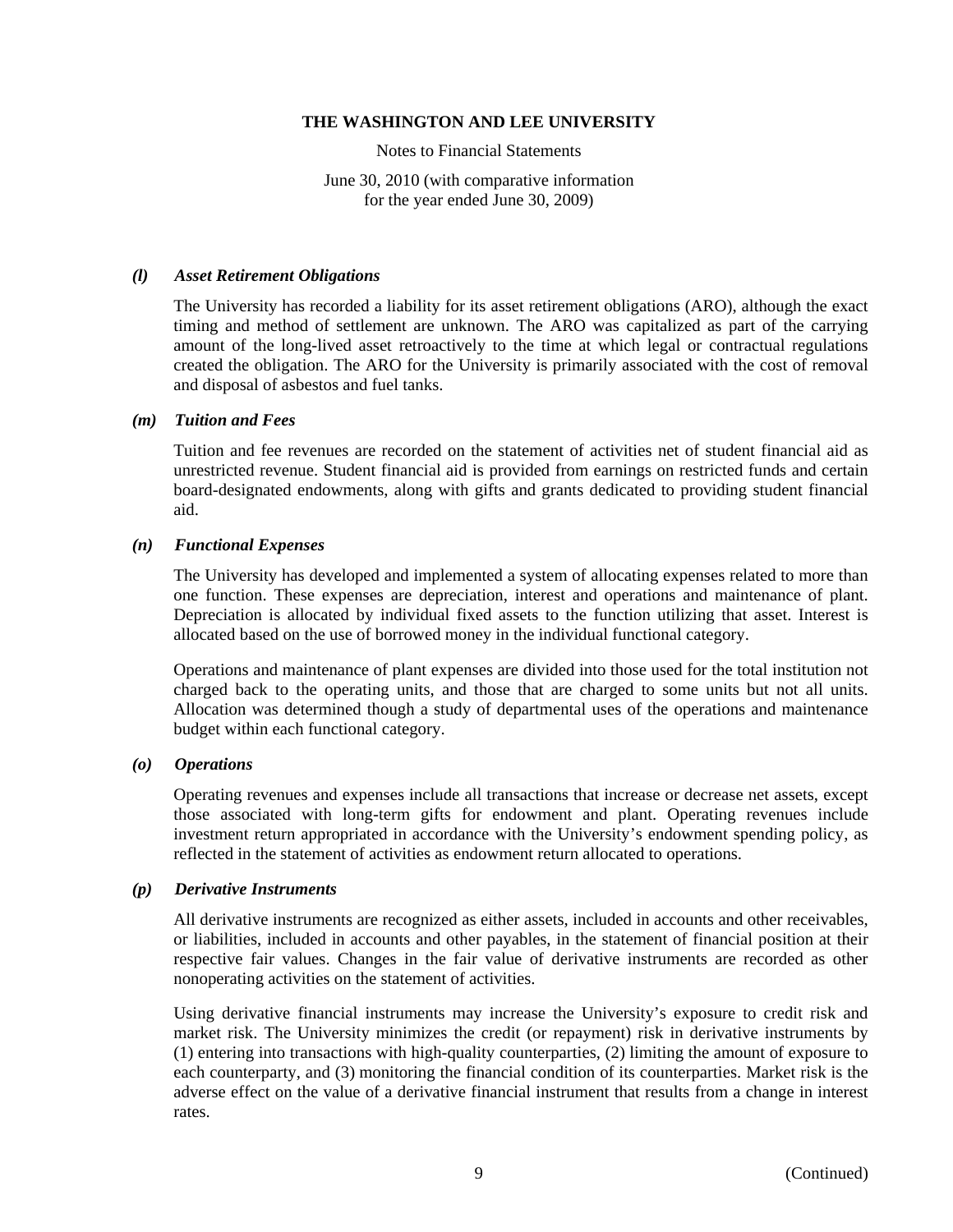Notes to Financial Statements

June 30, 2010 (with comparative information for the year ended June 30, 2009)

# *(l) Asset Retirement Obligations*

The University has recorded a liability for its asset retirement obligations (ARO), although the exact timing and method of settlement are unknown. The ARO was capitalized as part of the carrying amount of the long-lived asset retroactively to the time at which legal or contractual regulations created the obligation. The ARO for the University is primarily associated with the cost of removal and disposal of asbestos and fuel tanks.

# *(m) Tuition and Fees*

Tuition and fee revenues are recorded on the statement of activities net of student financial aid as unrestricted revenue. Student financial aid is provided from earnings on restricted funds and certain board-designated endowments, along with gifts and grants dedicated to providing student financial aid.

# *(n) Functional Expenses*

The University has developed and implemented a system of allocating expenses related to more than one function. These expenses are depreciation, interest and operations and maintenance of plant. Depreciation is allocated by individual fixed assets to the function utilizing that asset. Interest is allocated based on the use of borrowed money in the individual functional category.

Operations and maintenance of plant expenses are divided into those used for the total institution not charged back to the operating units, and those that are charged to some units but not all units. Allocation was determined though a study of departmental uses of the operations and maintenance budget within each functional category.

# *(o) Operations*

Operating revenues and expenses include all transactions that increase or decrease net assets, except those associated with long-term gifts for endowment and plant. Operating revenues include investment return appropriated in accordance with the University's endowment spending policy, as reflected in the statement of activities as endowment return allocated to operations.

# *(p) Derivative Instruments*

All derivative instruments are recognized as either assets, included in accounts and other receivables, or liabilities, included in accounts and other payables, in the statement of financial position at their respective fair values. Changes in the fair value of derivative instruments are recorded as other nonoperating activities on the statement of activities.

Using derivative financial instruments may increase the University's exposure to credit risk and market risk. The University minimizes the credit (or repayment) risk in derivative instruments by (1) entering into transactions with high-quality counterparties, (2) limiting the amount of exposure to each counterparty, and (3) monitoring the financial condition of its counterparties. Market risk is the adverse effect on the value of a derivative financial instrument that results from a change in interest rates.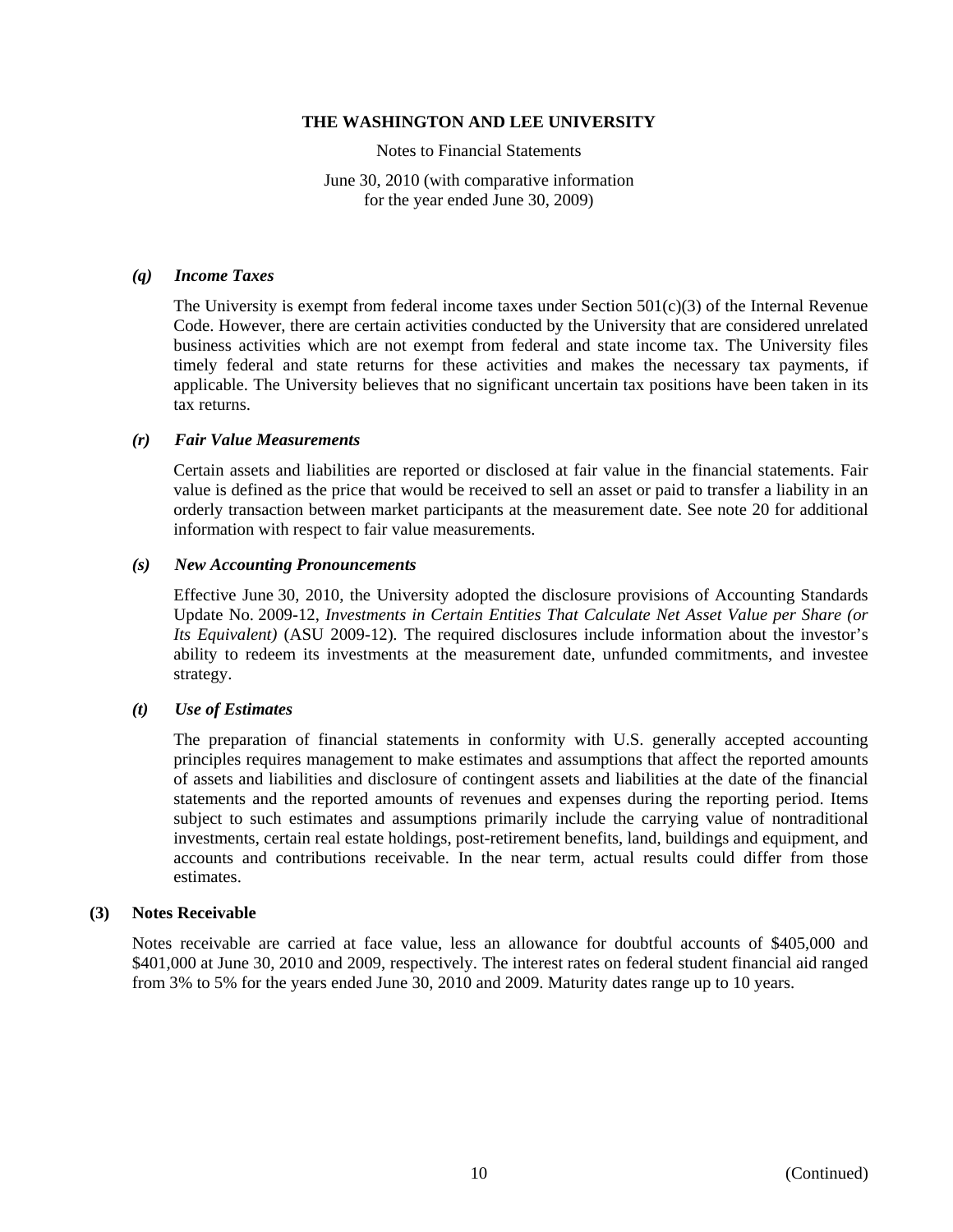Notes to Financial Statements

June 30, 2010 (with comparative information for the year ended June 30, 2009)

#### *(q) Income Taxes*

The University is exempt from federal income taxes under Section  $501(c)(3)$  of the Internal Revenue Code. However, there are certain activities conducted by the University that are considered unrelated business activities which are not exempt from federal and state income tax. The University files timely federal and state returns for these activities and makes the necessary tax payments, if applicable. The University believes that no significant uncertain tax positions have been taken in its tax returns.

#### *(r) Fair Value Measurements*

Certain assets and liabilities are reported or disclosed at fair value in the financial statements. Fair value is defined as the price that would be received to sell an asset or paid to transfer a liability in an orderly transaction between market participants at the measurement date. See note 20 for additional information with respect to fair value measurements.

#### *(s) New Accounting Pronouncements*

Effective June 30, 2010, the University adopted the disclosure provisions of Accounting Standards Update No. 2009-12, *Investments in Certain Entities That Calculate Net Asset Value per Share (or Its Equivalent)* (ASU 2009-12)*.* The required disclosures include information about the investor's ability to redeem its investments at the measurement date, unfunded commitments, and investee strategy.

# *(t) Use of Estimates*

The preparation of financial statements in conformity with U.S. generally accepted accounting principles requires management to make estimates and assumptions that affect the reported amounts of assets and liabilities and disclosure of contingent assets and liabilities at the date of the financial statements and the reported amounts of revenues and expenses during the reporting period. Items subject to such estimates and assumptions primarily include the carrying value of nontraditional investments, certain real estate holdings, post-retirement benefits, land, buildings and equipment, and accounts and contributions receivable. In the near term, actual results could differ from those estimates.

# **(3) Notes Receivable**

Notes receivable are carried at face value, less an allowance for doubtful accounts of \$405,000 and \$401,000 at June 30, 2010 and 2009, respectively. The interest rates on federal student financial aid ranged from 3% to 5% for the years ended June 30, 2010 and 2009. Maturity dates range up to 10 years.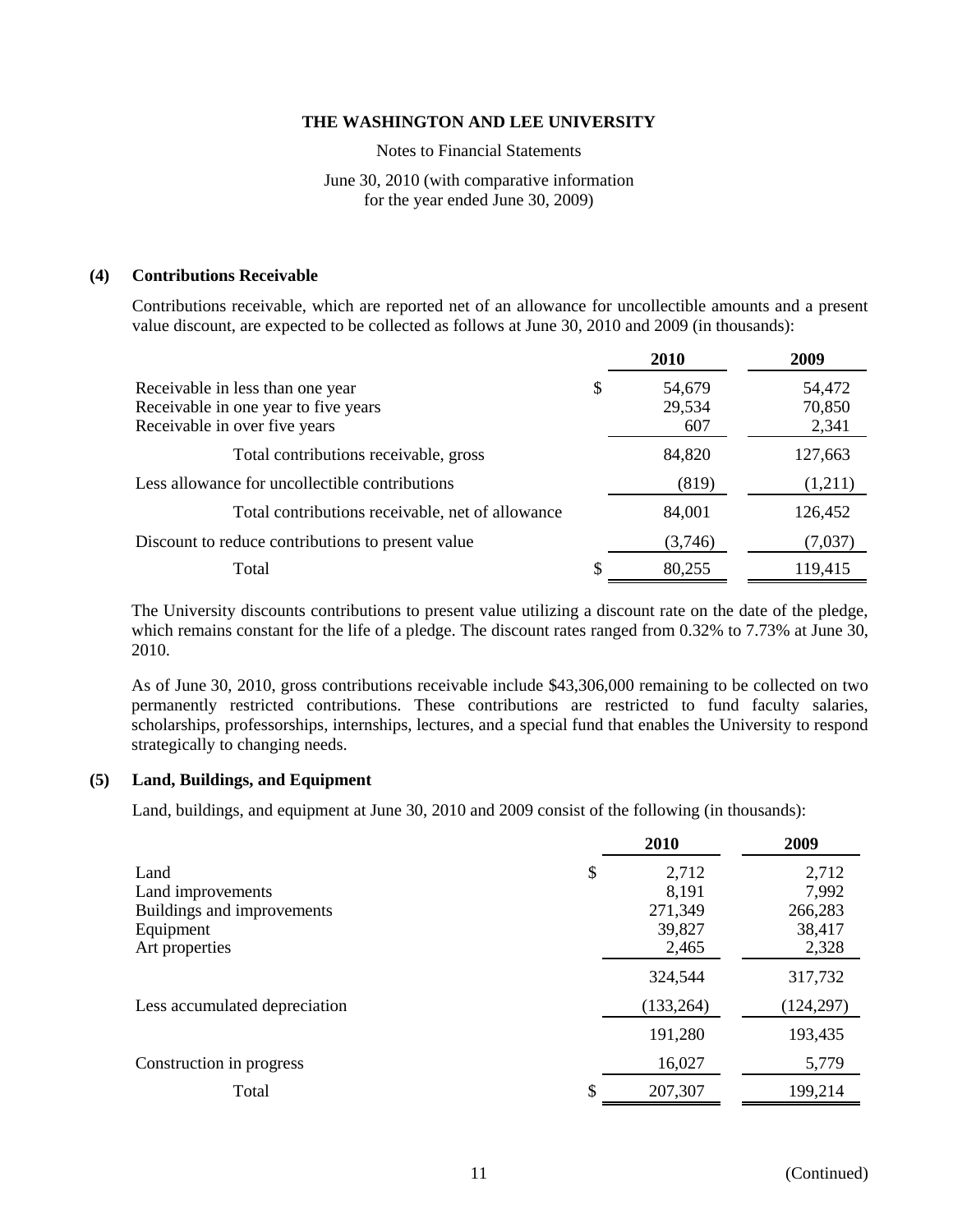Notes to Financial Statements

# June 30, 2010 (with comparative information for the year ended June 30, 2009)

# **(4) Contributions Receivable**

Contributions receivable, which are reported net of an allowance for uncollectible amounts and a present value discount, are expected to be collected as follows at June 30, 2010 and 2009 (in thousands):

|                                                                                                           | <b>2010</b>                   | 2009                      |
|-----------------------------------------------------------------------------------------------------------|-------------------------------|---------------------------|
| Receivable in less than one year<br>Receivable in one year to five years<br>Receivable in over five years | \$<br>54,679<br>29,534<br>607 | 54,472<br>70,850<br>2,341 |
| Total contributions receivable, gross                                                                     | 84,820                        | 127,663                   |
| Less allowance for uncollectible contributions                                                            | (819)                         | (1,211)                   |
| Total contributions receivable, net of allowance                                                          | 84,001                        | 126,452                   |
| Discount to reduce contributions to present value                                                         | (3,746)                       | (7,037)                   |
| Total                                                                                                     | 80,255                        | 119,415                   |

The University discounts contributions to present value utilizing a discount rate on the date of the pledge, which remains constant for the life of a pledge. The discount rates ranged from 0.32% to 7.73% at June 30, 2010.

As of June 30, 2010, gross contributions receivable include \$43,306,000 remaining to be collected on two permanently restricted contributions. These contributions are restricted to fund faculty salaries, scholarships, professorships, internships, lectures, and a special fund that enables the University to respond strategically to changing needs.

# **(5) Land, Buildings, and Equipment**

Land, buildings, and equipment at June 30, 2010 and 2009 consist of the following (in thousands):

|                               | 2010          | 2009       |
|-------------------------------|---------------|------------|
| Land                          | \$<br>2,712   | 2,712      |
| Land improvements             | 8,191         | 7,992      |
| Buildings and improvements    | 271,349       | 266,283    |
| Equipment                     | 39,827        | 38,417     |
| Art properties                | 2,465         | 2,328      |
|                               | 324,544       | 317,732    |
| Less accumulated depreciation | (133, 264)    | (124, 297) |
|                               | 191,280       | 193,435    |
| Construction in progress      | 16,027        | 5,779      |
| Total                         | \$<br>207,307 | 199,214    |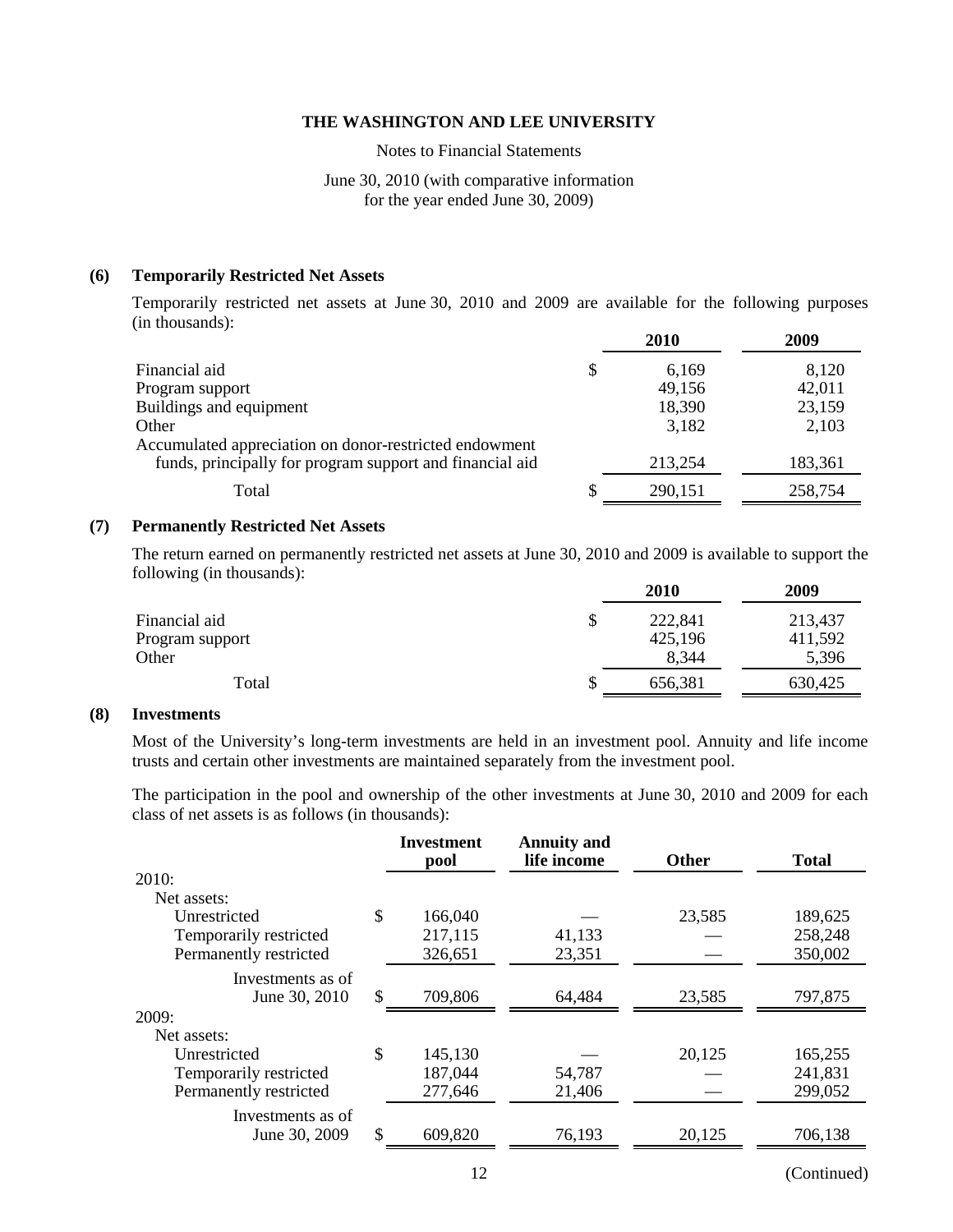Notes to Financial Statements

# June 30, 2010 (with comparative information for the year ended June 30, 2009)

#### **(6) Temporarily Restricted Net Assets**

Temporarily restricted net assets at June 30, 2010 and 2009 are available for the following purposes (in thousands):

|                                                          | <b>2010</b> | 2009    |
|----------------------------------------------------------|-------------|---------|
| Financial aid                                            | \$<br>6,169 | 8,120   |
| Program support                                          | 49,156      | 42,011  |
| Buildings and equipment                                  | 18,390      | 23,159  |
| Other                                                    | 3,182       | 2,103   |
| Accumulated appreciation on donor-restricted endowment   |             |         |
| funds, principally for program support and financial aid | 213,254     | 183,361 |
| Total                                                    | 290,151     | 258,754 |

#### **(7) Permanently Restricted Net Assets**

The return earned on permanently restricted net assets at June 30, 2010 and 2009 is available to support the following (in thousands):

|                 | 2010    | 2009    |
|-----------------|---------|---------|
| Financial aid   | 222,841 | 213,437 |
| Program support | 425,196 | 411,592 |
| Other           | 8,344   | 5,396   |
| Total           | 656,381 | 630,425 |

#### **(8) Investments**

Most of the University's long-term investments are held in an investment pool. Annuity and life income trusts and certain other investments are maintained separately from the investment pool.

The participation in the pool and ownership of the other investments at June 30, 2010 and 2009 for each class of net assets is as follows (in thousands):

| 189,625 |
|---------|
| 258,248 |
| 350,002 |
|         |
| 797,875 |
|         |
|         |
| 165,255 |
| 241,831 |
| 299,052 |
|         |
| 706,138 |
|         |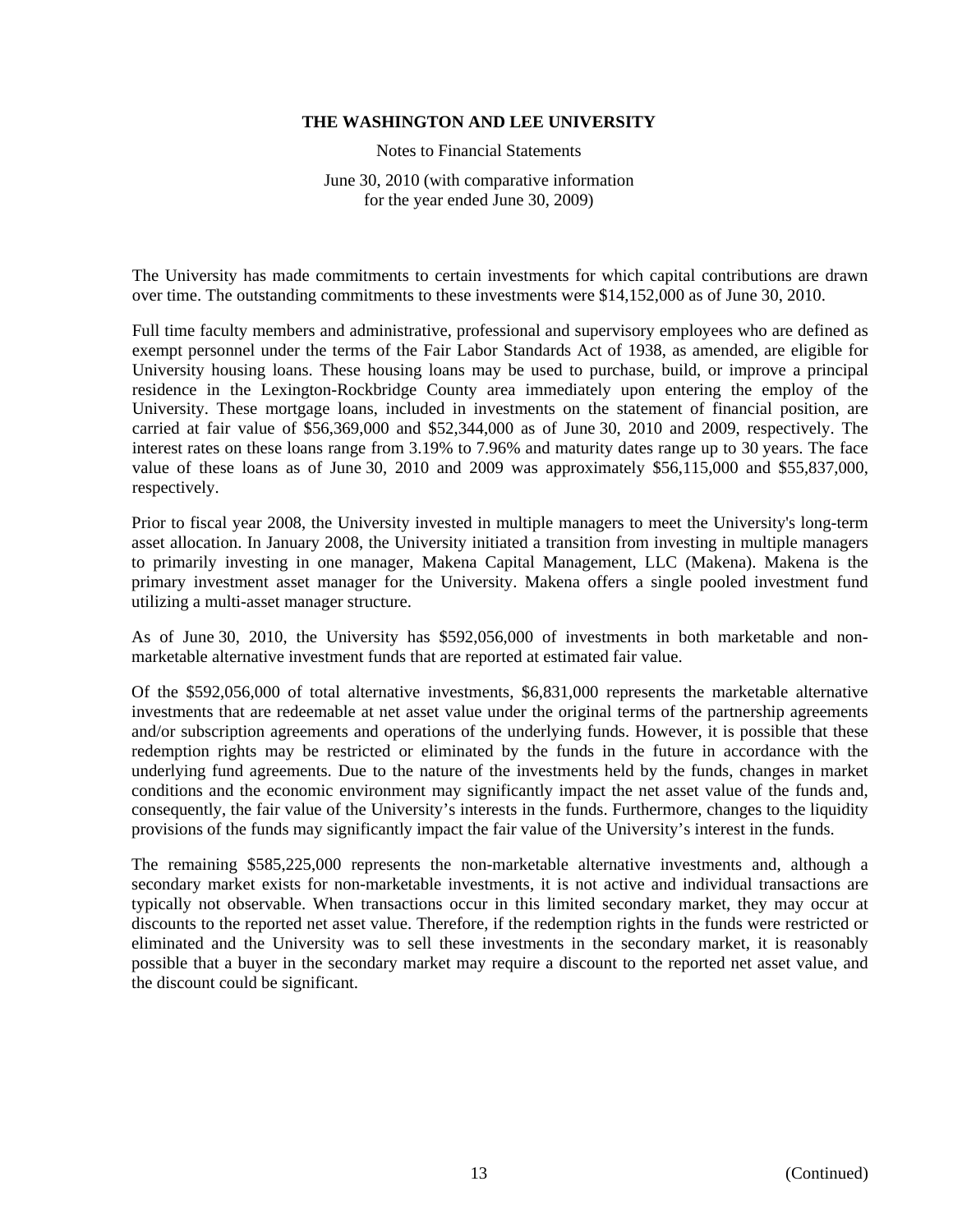Notes to Financial Statements

June 30, 2010 (with comparative information for the year ended June 30, 2009)

The University has made commitments to certain investments for which capital contributions are drawn over time. The outstanding commitments to these investments were \$14,152,000 as of June 30, 2010.

Full time faculty members and administrative, professional and supervisory employees who are defined as exempt personnel under the terms of the Fair Labor Standards Act of 1938, as amended, are eligible for University housing loans. These housing loans may be used to purchase, build, or improve a principal residence in the Lexington-Rockbridge County area immediately upon entering the employ of the University. These mortgage loans, included in investments on the statement of financial position, are carried at fair value of \$56,369,000 and \$52,344,000 as of June 30, 2010 and 2009, respectively. The interest rates on these loans range from 3.19% to 7.96% and maturity dates range up to 30 years. The face value of these loans as of June 30, 2010 and 2009 was approximately \$56,115,000 and \$55,837,000, respectively.

Prior to fiscal year 2008, the University invested in multiple managers to meet the University's long-term asset allocation. In January 2008, the University initiated a transition from investing in multiple managers to primarily investing in one manager, Makena Capital Management, LLC (Makena). Makena is the primary investment asset manager for the University. Makena offers a single pooled investment fund utilizing a multi-asset manager structure.

As of June 30, 2010, the University has \$592,056,000 of investments in both marketable and nonmarketable alternative investment funds that are reported at estimated fair value.

Of the \$592,056,000 of total alternative investments, \$6,831,000 represents the marketable alternative investments that are redeemable at net asset value under the original terms of the partnership agreements and/or subscription agreements and operations of the underlying funds. However, it is possible that these redemption rights may be restricted or eliminated by the funds in the future in accordance with the underlying fund agreements. Due to the nature of the investments held by the funds, changes in market conditions and the economic environment may significantly impact the net asset value of the funds and, consequently, the fair value of the University's interests in the funds. Furthermore, changes to the liquidity provisions of the funds may significantly impact the fair value of the University's interest in the funds.

The remaining \$585,225,000 represents the non-marketable alternative investments and, although a secondary market exists for non-marketable investments, it is not active and individual transactions are typically not observable. When transactions occur in this limited secondary market, they may occur at discounts to the reported net asset value. Therefore, if the redemption rights in the funds were restricted or eliminated and the University was to sell these investments in the secondary market, it is reasonably possible that a buyer in the secondary market may require a discount to the reported net asset value, and the discount could be significant.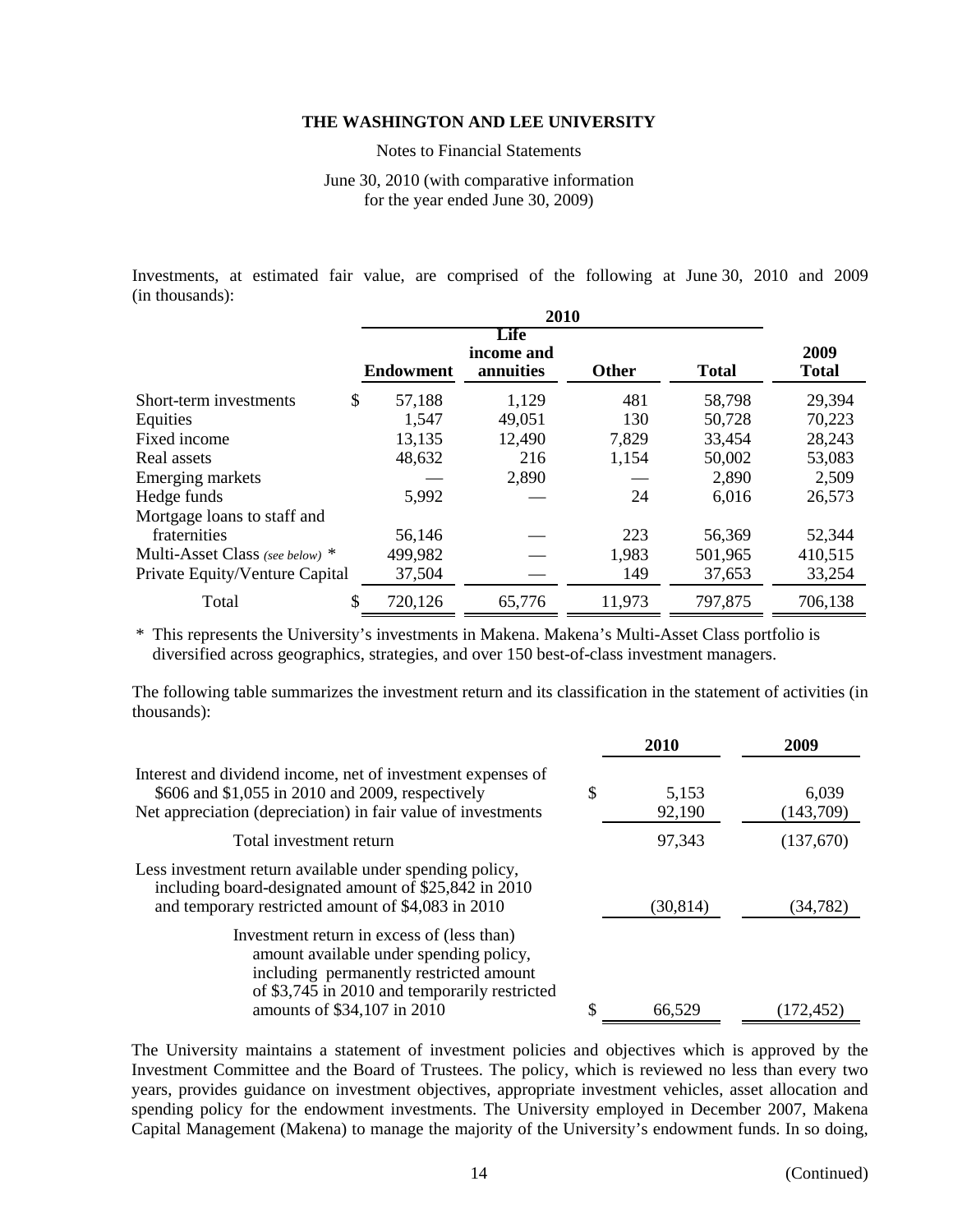Notes to Financial Statements

June 30, 2010 (with comparative information for the year ended June 30, 2009)

Investments, at estimated fair value, are comprised of the following at June 30, 2010 and 2009 (in thousands):

|                                 | <b>Endowment</b> | Life<br>income and<br>annuities | <b>Other</b> | <b>Total</b> | 2009<br><b>Total</b> |
|---------------------------------|------------------|---------------------------------|--------------|--------------|----------------------|
| Short-term investments          | \$<br>57,188     | 1,129                           | 481          | 58,798       | 29,394               |
| Equities                        | 1,547            | 49,051                          | 130          | 50,728       | 70,223               |
| Fixed income                    | 13,135           | 12,490                          | 7,829        | 33,454       | 28,243               |
| Real assets                     | 48,632           | 216                             | 1,154        | 50,002       | 53,083               |
| Emerging markets                |                  | 2,890                           |              | 2,890        | 2,509                |
| Hedge funds                     | 5,992            |                                 | 24           | 6,016        | 26,573               |
| Mortgage loans to staff and     |                  |                                 |              |              |                      |
| fraternities                    | 56,146           |                                 | 223          | 56,369       | 52,344               |
| Multi-Asset Class (see below) * | 499,982          |                                 | 1,983        | 501,965      | 410,515              |
| Private Equity/Venture Capital  | 37,504           |                                 | 149          | 37,653       | 33,254               |
| Total                           | \$<br>720,126    | 65,776                          | 11,973       | 797,875      | 706,138              |

\* This represents the University's investments in Makena. Makena's Multi-Asset Class portfolio is diversified across geographics, strategies, and over 150 best-of-class investment managers.

The following table summarizes the investment return and its classification in the statement of activities (in thousands):

|                                                                                                                                                                                                                  |   | 2010            | 2009               |
|------------------------------------------------------------------------------------------------------------------------------------------------------------------------------------------------------------------|---|-----------------|--------------------|
| Interest and dividend income, net of investment expenses of<br>\$606 and \$1,055 in 2010 and 2009, respectively<br>Net appreciation (depreciation) in fair value of investments                                  | S | 5,153<br>92,190 | 6,039<br>(143,709) |
| Total investment return                                                                                                                                                                                          |   | 97,343          | (137,670)          |
| Less investment return available under spending policy,<br>including board-designated amount of \$25,842 in 2010<br>and temporary restricted amount of \$4,083 in 2010                                           |   | (30, 814)       | (34, 782)          |
| Investment return in excess of (less than)<br>amount available under spending policy,<br>including permanently restricted amount<br>of \$3,745 in 2010 and temporarily restricted<br>amounts of \$34,107 in 2010 | S | 66.529          | 172,452)           |

The University maintains a statement of investment policies and objectives which is approved by the Investment Committee and the Board of Trustees. The policy, which is reviewed no less than every two years, provides guidance on investment objectives, appropriate investment vehicles, asset allocation and spending policy for the endowment investments. The University employed in December 2007, Makena Capital Management (Makena) to manage the majority of the University's endowment funds. In so doing,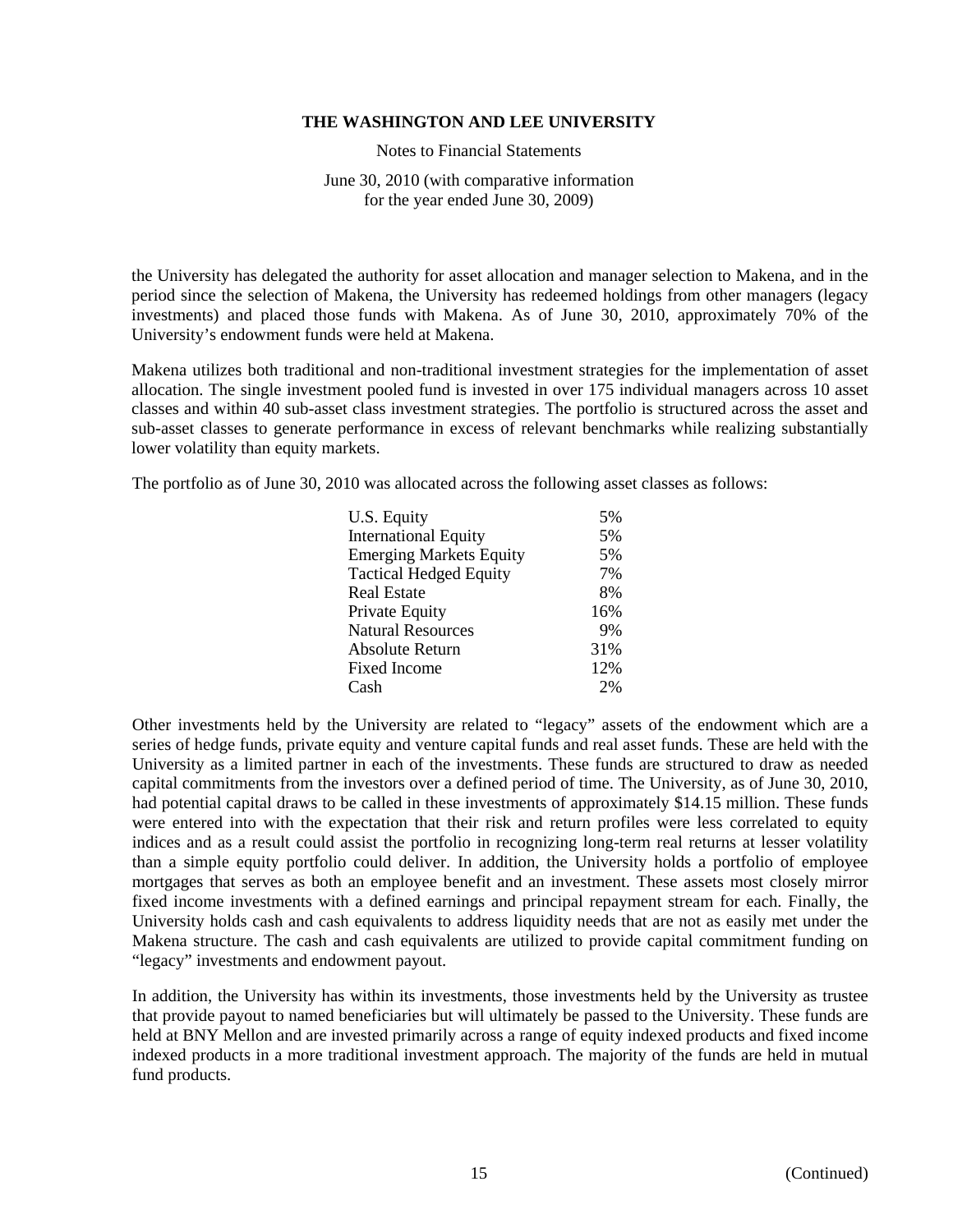Notes to Financial Statements

June 30, 2010 (with comparative information for the year ended June 30, 2009)

the University has delegated the authority for asset allocation and manager selection to Makena, and in the period since the selection of Makena, the University has redeemed holdings from other managers (legacy investments) and placed those funds with Makena. As of June 30, 2010, approximately 70% of the University's endowment funds were held at Makena.

Makena utilizes both traditional and non-traditional investment strategies for the implementation of asset allocation. The single investment pooled fund is invested in over 175 individual managers across 10 asset classes and within 40 sub-asset class investment strategies. The portfolio is structured across the asset and sub-asset classes to generate performance in excess of relevant benchmarks while realizing substantially lower volatility than equity markets.

The portfolio as of June 30, 2010 was allocated across the following asset classes as follows:

| U.S. Equity                    | 5%  |
|--------------------------------|-----|
| <b>International Equity</b>    | 5%  |
| <b>Emerging Markets Equity</b> | 5%  |
| <b>Tactical Hedged Equity</b>  | 7%  |
| <b>Real Estate</b>             | 8%  |
| Private Equity                 | 16% |
| <b>Natural Resources</b>       | 9%  |
| Absolute Return                | 31% |
| <b>Fixed Income</b>            | 12% |
| Cash                           | 2%  |

Other investments held by the University are related to "legacy" assets of the endowment which are a series of hedge funds, private equity and venture capital funds and real asset funds. These are held with the University as a limited partner in each of the investments. These funds are structured to draw as needed capital commitments from the investors over a defined period of time. The University, as of June 30, 2010, had potential capital draws to be called in these investments of approximately \$14.15 million. These funds were entered into with the expectation that their risk and return profiles were less correlated to equity indices and as a result could assist the portfolio in recognizing long-term real returns at lesser volatility than a simple equity portfolio could deliver. In addition, the University holds a portfolio of employee mortgages that serves as both an employee benefit and an investment. These assets most closely mirror fixed income investments with a defined earnings and principal repayment stream for each. Finally, the University holds cash and cash equivalents to address liquidity needs that are not as easily met under the Makena structure. The cash and cash equivalents are utilized to provide capital commitment funding on "legacy" investments and endowment payout.

In addition, the University has within its investments, those investments held by the University as trustee that provide payout to named beneficiaries but will ultimately be passed to the University. These funds are held at BNY Mellon and are invested primarily across a range of equity indexed products and fixed income indexed products in a more traditional investment approach. The majority of the funds are held in mutual fund products.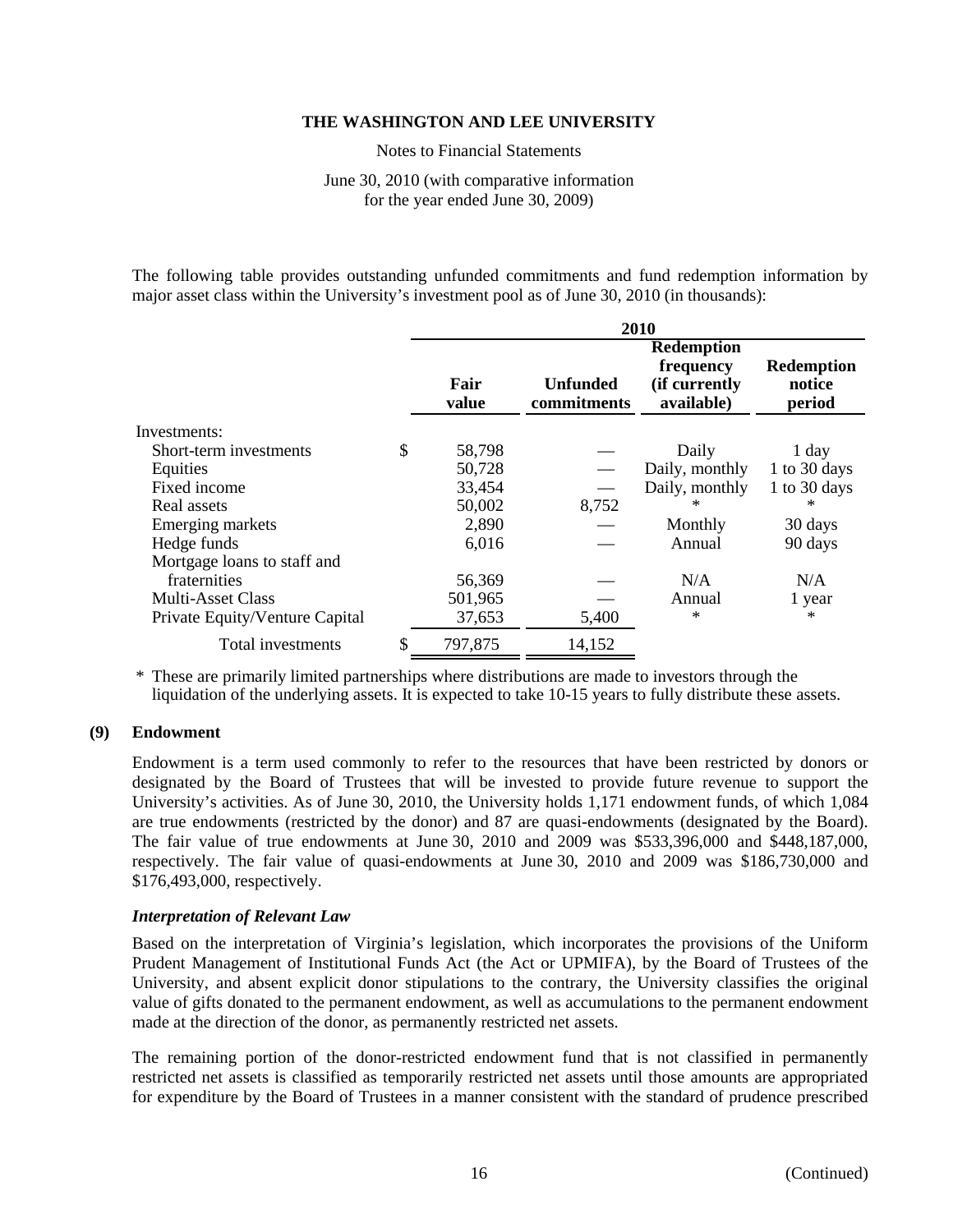Notes to Financial Statements

June 30, 2010 (with comparative information for the year ended June 30, 2009)

The following table provides outstanding unfunded commitments and fund redemption information by major asset class within the University's investment pool as of June 30, 2010 (in thousands):

|                                | 2010          |                                |                                                               |                                |  |  |
|--------------------------------|---------------|--------------------------------|---------------------------------------------------------------|--------------------------------|--|--|
|                                | Fair<br>value | <b>Unfunded</b><br>commitments | <b>Redemption</b><br>frequency<br>(if currently<br>available) | Redemption<br>notice<br>period |  |  |
| Investments:                   |               |                                |                                                               |                                |  |  |
| Short-term investments         | \$<br>58,798  |                                | Daily                                                         | $1$ day                        |  |  |
| Equities                       | 50,728        |                                | Daily, monthly                                                | 1 to 30 days                   |  |  |
| Fixed income                   | 33,454        |                                | Daily, monthly                                                | 1 to 30 days                   |  |  |
| Real assets                    | 50,002        | 8,752                          | $^{\ast}$                                                     | $\ast$                         |  |  |
| Emerging markets               | 2,890         |                                | Monthly                                                       | 30 days                        |  |  |
| Hedge funds                    | 6,016         |                                | Annual                                                        | 90 days                        |  |  |
| Mortgage loans to staff and    |               |                                |                                                               |                                |  |  |
| fraternities                   | 56,369        |                                | N/A                                                           | N/A                            |  |  |
| <b>Multi-Asset Class</b>       | 501,965       |                                | Annual                                                        | 1 year                         |  |  |
| Private Equity/Venture Capital | 37,653        | 5,400                          | $\ast$                                                        | $\ast$                         |  |  |
| Total investments              | 797,875       | 14,152                         |                                                               |                                |  |  |

\* These are primarily limited partnerships where distributions are made to investors through the liquidation of the underlying assets. It is expected to take 10-15 years to fully distribute these assets.

# **(9) Endowment**

Endowment is a term used commonly to refer to the resources that have been restricted by donors or designated by the Board of Trustees that will be invested to provide future revenue to support the University's activities. As of June 30, 2010, the University holds 1,171 endowment funds, of which 1,084 are true endowments (restricted by the donor) and 87 are quasi-endowments (designated by the Board). The fair value of true endowments at June 30, 2010 and 2009 was \$533,396,000 and \$448,187,000, respectively. The fair value of quasi-endowments at June 30, 2010 and 2009 was \$186,730,000 and \$176,493,000, respectively.

# *Interpretation of Relevant Law*

Based on the interpretation of Virginia's legislation, which incorporates the provisions of the Uniform Prudent Management of Institutional Funds Act (the Act or UPMIFA), by the Board of Trustees of the University, and absent explicit donor stipulations to the contrary, the University classifies the original value of gifts donated to the permanent endowment, as well as accumulations to the permanent endowment made at the direction of the donor, as permanently restricted net assets.

The remaining portion of the donor-restricted endowment fund that is not classified in permanently restricted net assets is classified as temporarily restricted net assets until those amounts are appropriated for expenditure by the Board of Trustees in a manner consistent with the standard of prudence prescribed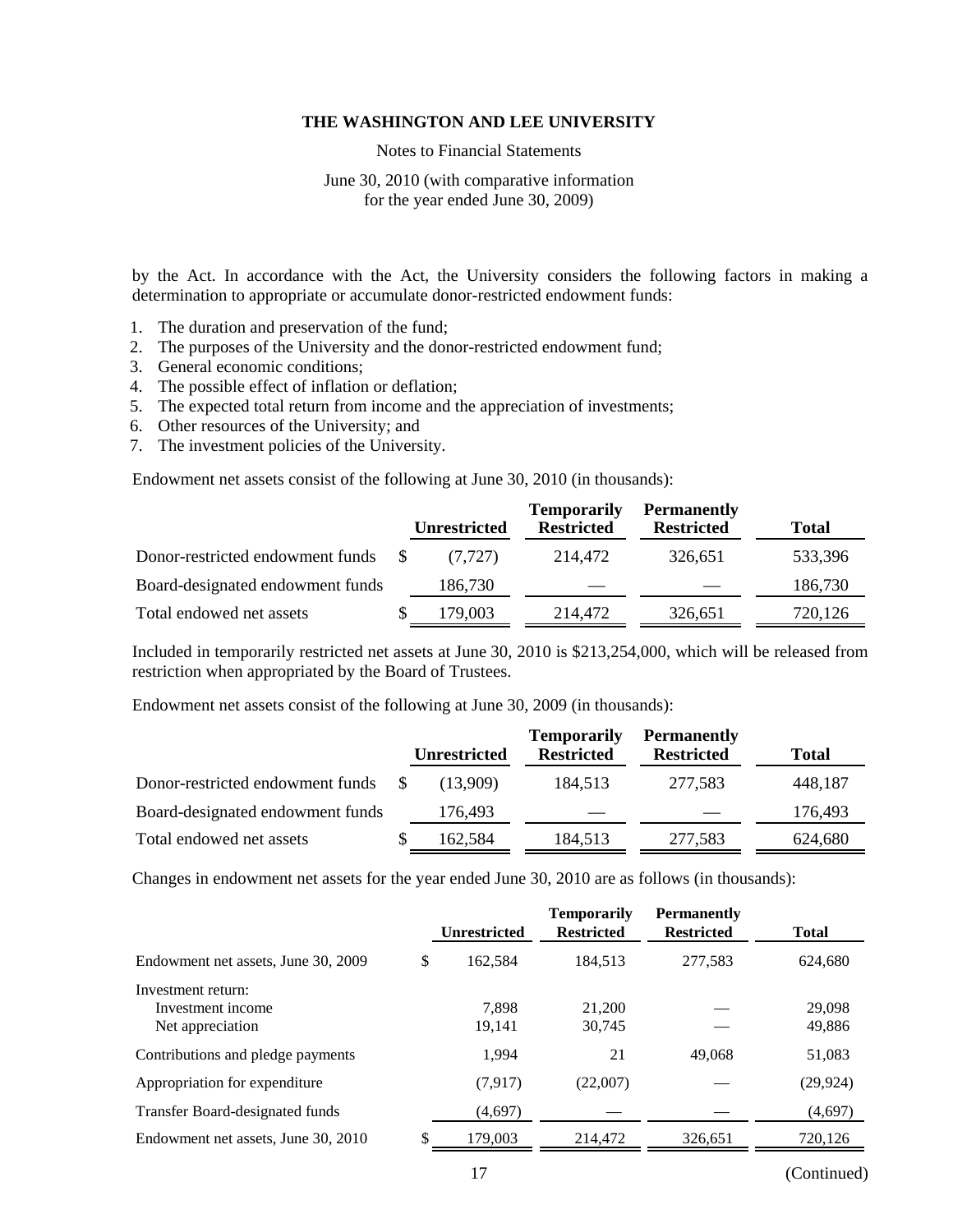Notes to Financial Statements

June 30, 2010 (with comparative information for the year ended June 30, 2009)

by the Act. In accordance with the Act, the University considers the following factors in making a determination to appropriate or accumulate donor-restricted endowment funds:

- 1. The duration and preservation of the fund;
- 2. The purposes of the University and the donor-restricted endowment fund;
- 3. General economic conditions;
- 4. The possible effect of inflation or deflation;
- 5. The expected total return from income and the appreciation of investments;
- 6. Other resources of the University; and
- 7. The investment policies of the University.

Endowment net assets consist of the following at June 30, 2010 (in thousands):

|                                  | <b>Unrestricted</b> | <b>Temporarily</b><br><b>Restricted</b> | <b>Permanently</b><br><b>Restricted</b> | <b>Total</b> |
|----------------------------------|---------------------|-----------------------------------------|-----------------------------------------|--------------|
| Donor-restricted endowment funds | (7.727)             | 214,472                                 | 326.651                                 | 533,396      |
| Board-designated endowment funds | 186,730             |                                         |                                         | 186,730      |
| Total endowed net assets         | 179,003             | 214,472                                 | 326,651                                 | 720,126      |

Included in temporarily restricted net assets at June 30, 2010 is \$213,254,000, which will be released from restriction when appropriated by the Board of Trustees.

Endowment net assets consist of the following at June 30, 2009 (in thousands):

|                                  | <b>Unrestricted</b> | <b>Temporarily</b><br><b>Restricted</b> | <b>Permanently</b><br><b>Restricted</b> | <b>Total</b> |
|----------------------------------|---------------------|-----------------------------------------|-----------------------------------------|--------------|
| Donor-restricted endowment funds | (13.909)            | 184.513                                 | 277.583                                 | 448,187      |
| Board-designated endowment funds | 176,493             |                                         |                                         | 176,493      |
| Total endowed net assets         | 162,584             | 184,513                                 | 277,583                                 | 624,680      |

Changes in endowment net assets for the year ended June 30, 2010 are as follows (in thousands):

|                                                             | <b>Unrestricted</b> | <b>Temporarily</b><br><b>Restricted</b> | <b>Permanently</b><br><b>Restricted</b> | <b>Total</b>     |
|-------------------------------------------------------------|---------------------|-----------------------------------------|-----------------------------------------|------------------|
| Endowment net assets, June 30, 2009                         | \$<br>162.584       | 184.513                                 | 277,583                                 | 624,680          |
| Investment return:<br>Investment income<br>Net appreciation | 7.898<br>19,141     | 21,200<br>30,745                        |                                         | 29,098<br>49,886 |
| Contributions and pledge payments                           | 1.994               | 21                                      | 49,068                                  | 51,083           |
| Appropriation for expenditure                               | (7,917)             | (22,007)                                |                                         | (29, 924)        |
| Transfer Board-designated funds                             | (4,697)             |                                         |                                         | (4,697)          |
| Endowment net assets, June 30, 2010                         | 179,003             | 214,472                                 | 326,651                                 | 720,126          |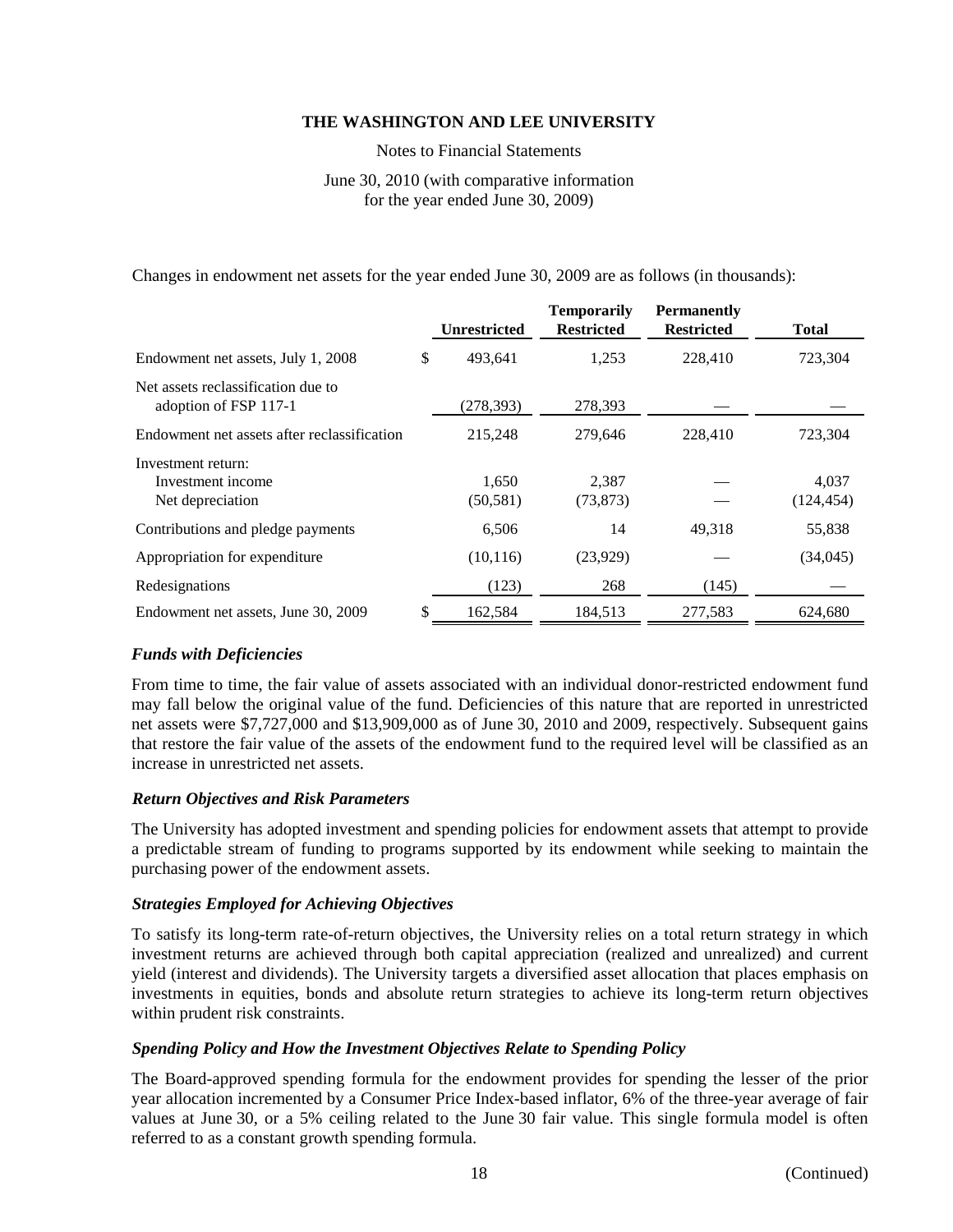Notes to Financial Statements

June 30, 2010 (with comparative information for the year ended June 30, 2009)

Changes in endowment net assets for the year ended June 30, 2009 are as follows (in thousands):

|                                                             | <b>Unrestricted</b> | <b>Temporarily</b><br><b>Restricted</b> | <b>Permanently</b><br><b>Restricted</b> | <b>Total</b>        |
|-------------------------------------------------------------|---------------------|-----------------------------------------|-----------------------------------------|---------------------|
| Endowment net assets, July 1, 2008                          | \$<br>493,641       | 1,253                                   | 228,410                                 | 723,304             |
| Net assets reclassification due to<br>adoption of FSP 117-1 | (278, 393)          | 278,393                                 |                                         |                     |
| Endowment net assets after reclassification                 | 215,248             | 279,646                                 | 228,410                                 | 723,304             |
| Investment return:<br>Investment income<br>Net depreciation | 1.650<br>(50, 581)  | 2,387<br>(73, 873)                      |                                         | 4.037<br>(124, 454) |
| Contributions and pledge payments                           | 6,506               | 14                                      | 49,318                                  | 55,838              |
| Appropriation for expenditure                               | (10, 116)           | (23,929)                                |                                         | (34,045)            |
| Redesignations                                              | (123)               | 268                                     | (145)                                   |                     |
| Endowment net assets, June 30, 2009                         | 162,584             | 184,513                                 | 277,583                                 | 624,680             |

# *Funds with Deficiencies*

From time to time, the fair value of assets associated with an individual donor-restricted endowment fund may fall below the original value of the fund. Deficiencies of this nature that are reported in unrestricted net assets were \$7,727,000 and \$13,909,000 as of June 30, 2010 and 2009, respectively. Subsequent gains that restore the fair value of the assets of the endowment fund to the required level will be classified as an increase in unrestricted net assets.

# *Return Objectives and Risk Parameters*

The University has adopted investment and spending policies for endowment assets that attempt to provide a predictable stream of funding to programs supported by its endowment while seeking to maintain the purchasing power of the endowment assets.

# *Strategies Employed for Achieving Objectives*

To satisfy its long-term rate-of-return objectives, the University relies on a total return strategy in which investment returns are achieved through both capital appreciation (realized and unrealized) and current yield (interest and dividends). The University targets a diversified asset allocation that places emphasis on investments in equities, bonds and absolute return strategies to achieve its long-term return objectives within prudent risk constraints.

# *Spending Policy and How the Investment Objectives Relate to Spending Policy*

The Board-approved spending formula for the endowment provides for spending the lesser of the prior year allocation incremented by a Consumer Price Index-based inflator, 6% of the three-year average of fair values at June 30, or a 5% ceiling related to the June 30 fair value. This single formula model is often referred to as a constant growth spending formula.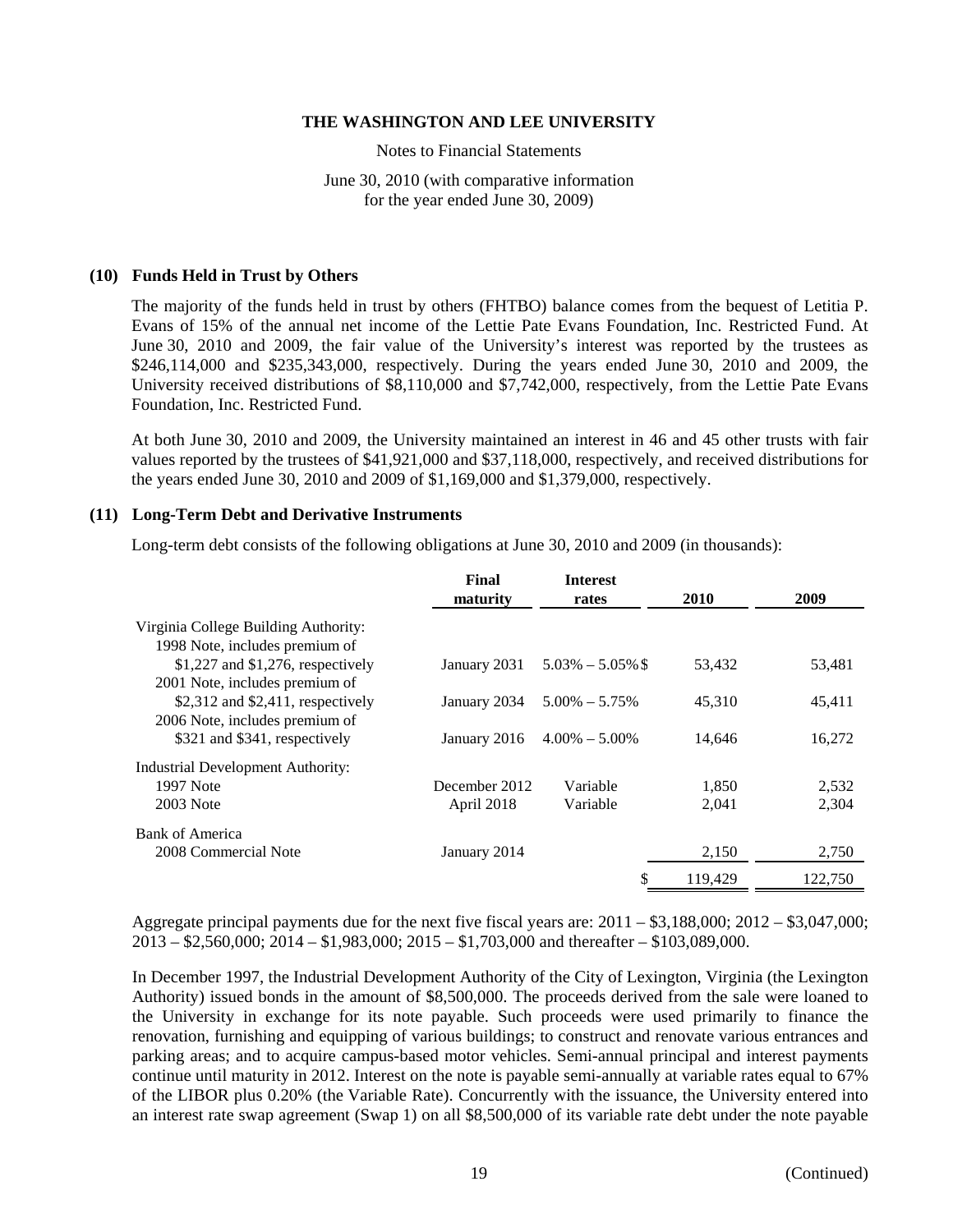Notes to Financial Statements

June 30, 2010 (with comparative information for the year ended June 30, 2009)

#### **(10) Funds Held in Trust by Others**

The majority of the funds held in trust by others (FHTBO) balance comes from the bequest of Letitia P. Evans of 15% of the annual net income of the Lettie Pate Evans Foundation, Inc. Restricted Fund. At June 30, 2010 and 2009, the fair value of the University's interest was reported by the trustees as \$246,114,000 and \$235,343,000, respectively. During the years ended June 30, 2010 and 2009, the University received distributions of \$8,110,000 and \$7,742,000, respectively, from the Lettie Pate Evans Foundation, Inc. Restricted Fund.

At both June 30, 2010 and 2009, the University maintained an interest in 46 and 45 other trusts with fair values reported by the trustees of \$41,921,000 and \$37,118,000, respectively, and received distributions for the years ended June 30, 2010 and 2009 of \$1,169,000 and \$1,379,000, respectively.

#### **(11) Long-Term Debt and Derivative Instruments**

Long-term debt consists of the following obligations at June 30, 2010 and 2009 (in thousands):

|                                                                        | Final<br>maturity | <b>Interest</b><br>rates | <b>2010</b> | 2009    |
|------------------------------------------------------------------------|-------------------|--------------------------|-------------|---------|
| Virginia College Building Authority:                                   |                   |                          |             |         |
| 1998 Note, includes premium of                                         |                   |                          |             |         |
| $$1,227$ and $$1,276$ , respectively<br>2001 Note, includes premium of | January 2031      | $5.03\% - 5.05\%$        | 53,432      | 53,481  |
| $$2,312$ and $$2,411$ , respectively<br>2006 Note, includes premium of | January 2034      | $5.00\% - 5.75\%$        | 45.310      | 45,411  |
| \$321 and \$341, respectively                                          | January 2016      | $4.00\% - 5.00\%$        | 14,646      | 16,272  |
| <b>Industrial Development Authority:</b>                               |                   |                          |             |         |
| 1997 Note                                                              | December 2012     | Variable                 | 1,850       | 2,532   |
| 2003 Note                                                              | April 2018        | Variable                 | 2.041       | 2,304   |
| Bank of America                                                        |                   |                          |             |         |
| 2008 Commercial Note                                                   | January 2014      |                          | 2,150       | 2,750   |
|                                                                        |                   |                          | 119,429     | 122,750 |

Aggregate principal payments due for the next five fiscal years are: 2011 – \$3,188,000; 2012 – \$3,047,000; 2013 – \$2,560,000; 2014 – \$1,983,000; 2015 – \$1,703,000 and thereafter – \$103,089,000.

In December 1997, the Industrial Development Authority of the City of Lexington, Virginia (the Lexington Authority) issued bonds in the amount of \$8,500,000. The proceeds derived from the sale were loaned to the University in exchange for its note payable. Such proceeds were used primarily to finance the renovation, furnishing and equipping of various buildings; to construct and renovate various entrances and parking areas; and to acquire campus-based motor vehicles. Semi-annual principal and interest payments continue until maturity in 2012. Interest on the note is payable semi-annually at variable rates equal to 67% of the LIBOR plus 0.20% (the Variable Rate). Concurrently with the issuance, the University entered into an interest rate swap agreement (Swap 1) on all \$8,500,000 of its variable rate debt under the note payable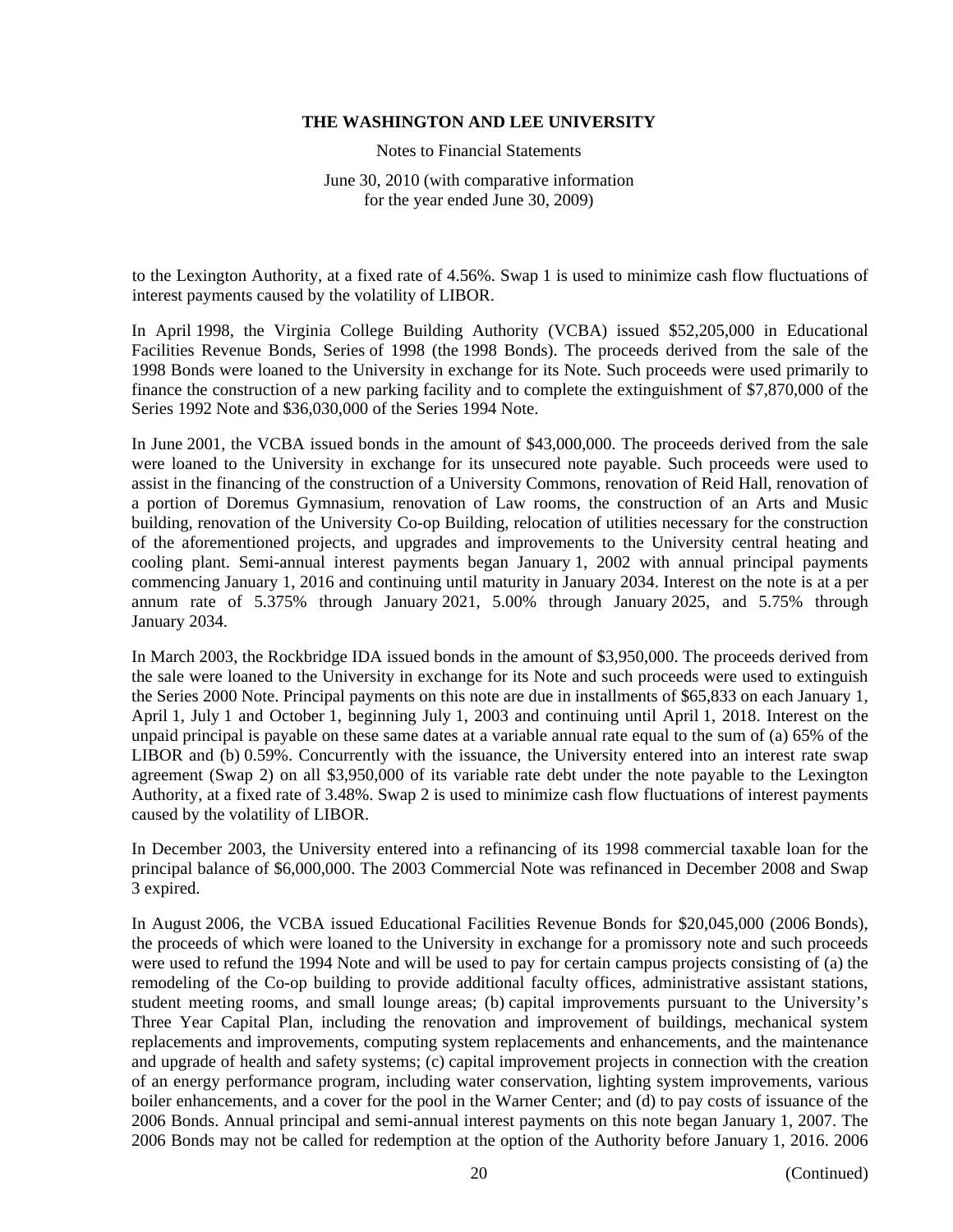Notes to Financial Statements

June 30, 2010 (with comparative information for the year ended June 30, 2009)

to the Lexington Authority, at a fixed rate of 4.56%. Swap 1 is used to minimize cash flow fluctuations of interest payments caused by the volatility of LIBOR.

In April 1998, the Virginia College Building Authority (VCBA) issued \$52,205,000 in Educational Facilities Revenue Bonds, Series of 1998 (the 1998 Bonds). The proceeds derived from the sale of the 1998 Bonds were loaned to the University in exchange for its Note. Such proceeds were used primarily to finance the construction of a new parking facility and to complete the extinguishment of \$7,870,000 of the Series 1992 Note and \$36,030,000 of the Series 1994 Note.

In June 2001, the VCBA issued bonds in the amount of \$43,000,000. The proceeds derived from the sale were loaned to the University in exchange for its unsecured note payable. Such proceeds were used to assist in the financing of the construction of a University Commons, renovation of Reid Hall, renovation of a portion of Doremus Gymnasium, renovation of Law rooms, the construction of an Arts and Music building, renovation of the University Co-op Building, relocation of utilities necessary for the construction of the aforementioned projects, and upgrades and improvements to the University central heating and cooling plant. Semi-annual interest payments began January 1, 2002 with annual principal payments commencing January 1, 2016 and continuing until maturity in January 2034. Interest on the note is at a per annum rate of 5.375% through January 2021, 5.00% through January 2025, and 5.75% through January 2034.

In March 2003, the Rockbridge IDA issued bonds in the amount of \$3,950,000. The proceeds derived from the sale were loaned to the University in exchange for its Note and such proceeds were used to extinguish the Series 2000 Note. Principal payments on this note are due in installments of \$65,833 on each January 1, April 1, July 1 and October 1, beginning July 1, 2003 and continuing until April 1, 2018. Interest on the unpaid principal is payable on these same dates at a variable annual rate equal to the sum of (a) 65% of the LIBOR and (b) 0.59%. Concurrently with the issuance, the University entered into an interest rate swap agreement (Swap 2) on all \$3,950,000 of its variable rate debt under the note payable to the Lexington Authority, at a fixed rate of 3.48%. Swap 2 is used to minimize cash flow fluctuations of interest payments caused by the volatility of LIBOR.

In December 2003, the University entered into a refinancing of its 1998 commercial taxable loan for the principal balance of \$6,000,000. The 2003 Commercial Note was refinanced in December 2008 and Swap 3 expired.

In August 2006, the VCBA issued Educational Facilities Revenue Bonds for \$20,045,000 (2006 Bonds), the proceeds of which were loaned to the University in exchange for a promissory note and such proceeds were used to refund the 1994 Note and will be used to pay for certain campus projects consisting of (a) the remodeling of the Co-op building to provide additional faculty offices, administrative assistant stations, student meeting rooms, and small lounge areas; (b) capital improvements pursuant to the University's Three Year Capital Plan, including the renovation and improvement of buildings, mechanical system replacements and improvements, computing system replacements and enhancements, and the maintenance and upgrade of health and safety systems; (c) capital improvement projects in connection with the creation of an energy performance program, including water conservation, lighting system improvements, various boiler enhancements, and a cover for the pool in the Warner Center; and (d) to pay costs of issuance of the 2006 Bonds. Annual principal and semi-annual interest payments on this note began January 1, 2007. The 2006 Bonds may not be called for redemption at the option of the Authority before January 1, 2016. 2006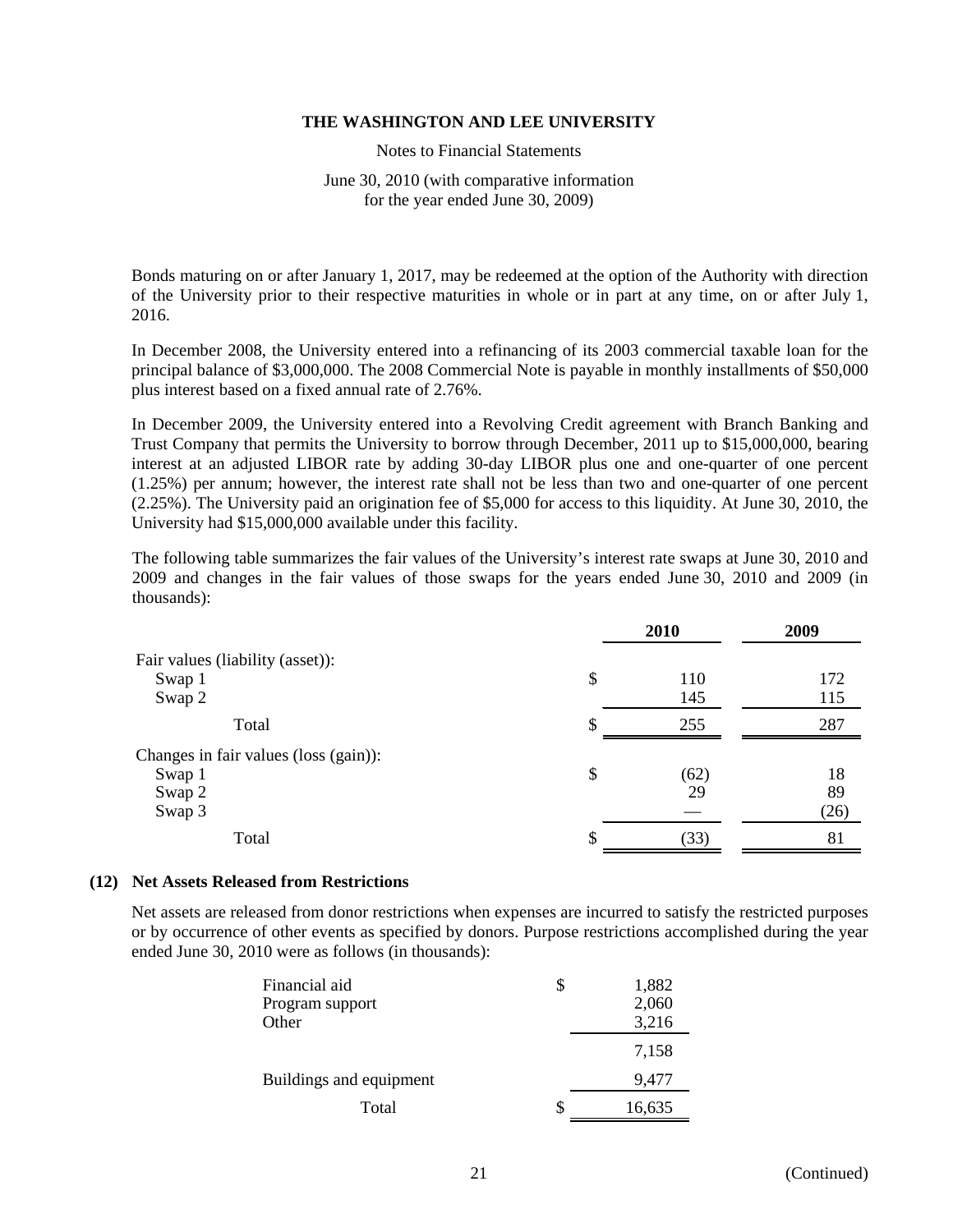Notes to Financial Statements

June 30, 2010 (with comparative information for the year ended June 30, 2009)

Bonds maturing on or after January 1, 2017, may be redeemed at the option of the Authority with direction of the University prior to their respective maturities in whole or in part at any time, on or after July 1, 2016.

In December 2008, the University entered into a refinancing of its 2003 commercial taxable loan for the principal balance of \$3,000,000. The 2008 Commercial Note is payable in monthly installments of \$50,000 plus interest based on a fixed annual rate of 2.76%.

In December 2009, the University entered into a Revolving Credit agreement with Branch Banking and Trust Company that permits the University to borrow through December, 2011 up to \$15,000,000, bearing interest at an adjusted LIBOR rate by adding 30-day LIBOR plus one and one-quarter of one percent (1.25%) per annum; however, the interest rate shall not be less than two and one-quarter of one percent (2.25%). The University paid an origination fee of \$5,000 for access to this liquidity. At June 30, 2010, the University had \$15,000,000 available under this facility.

The following table summarizes the fair values of the University's interest rate swaps at June 30, 2010 and 2009 and changes in the fair values of those swaps for the years ended June 30, 2010 and 2009 (in thousands):

|                                       | 2010       | 2009 |
|---------------------------------------|------------|------|
| Fair values (liability (asset)):      |            |      |
| Swap 1                                | \$<br>110  | 172  |
| Swap 2                                | 145        | 115  |
| Total                                 | \$<br>255  | 287  |
| Changes in fair values (loss (gain)): |            |      |
| Swap 1                                | \$<br>(62) | 18   |
| Swap 2                                | 29         | 89   |
| Swap 3                                |            | (26) |
| Total                                 | \$<br>(33) | 81   |

#### **(12) Net Assets Released from Restrictions**

Net assets are released from donor restrictions when expenses are incurred to satisfy the restricted purposes or by occurrence of other events as specified by donors. Purpose restrictions accomplished during the year ended June 30, 2010 were as follows (in thousands):

| Financial aid           |   | 1,882  |
|-------------------------|---|--------|
| Program support         |   | 2,060  |
| Other                   |   | 3,216  |
|                         |   | 7,158  |
| Buildings and equipment |   | 9,477  |
| Total                   | S | 16,635 |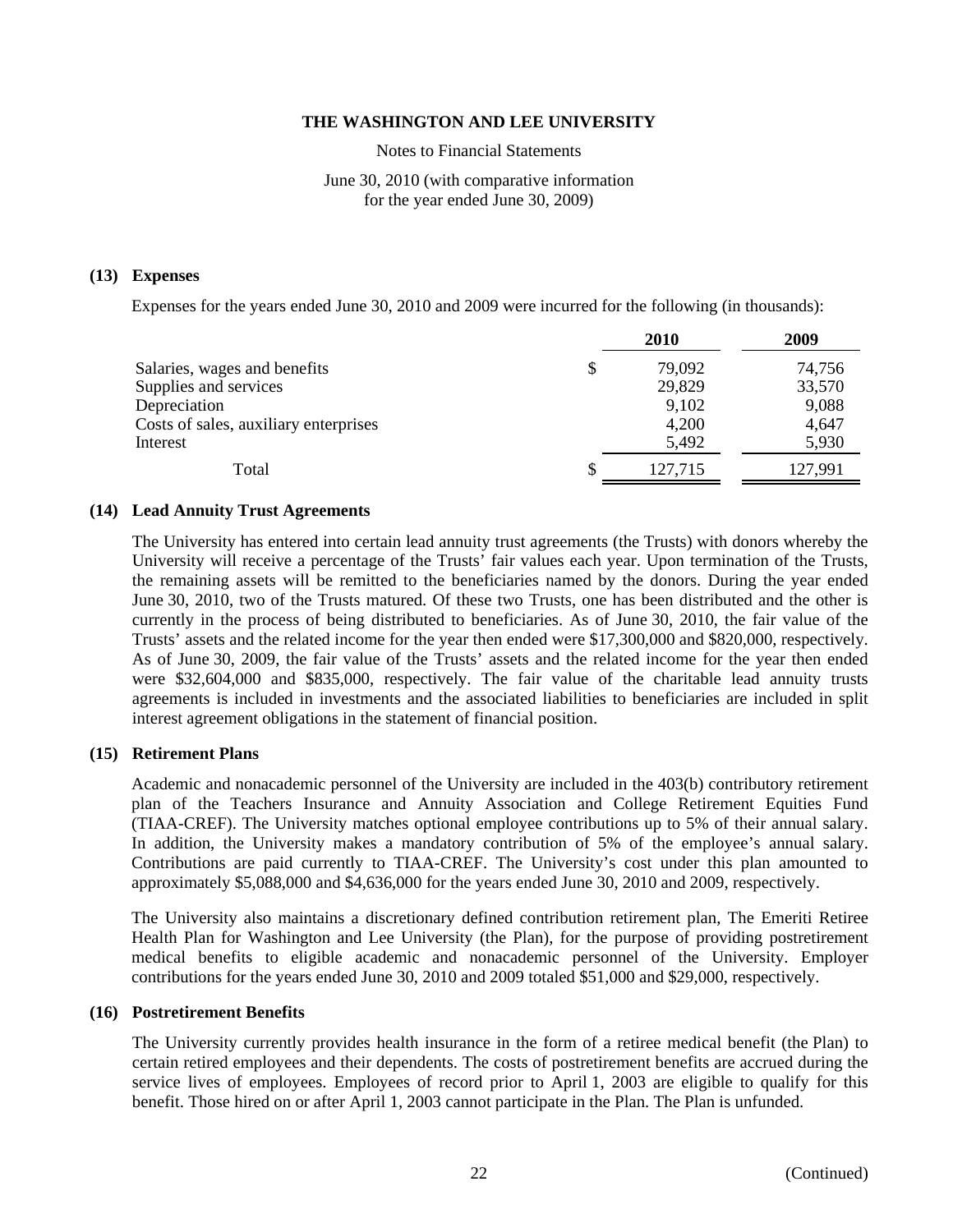Notes to Financial Statements

# June 30, 2010 (with comparative information for the year ended June 30, 2009)

#### **(13) Expenses**

Expenses for the years ended June 30, 2010 and 2009 were incurred for the following (in thousands):

| 2010    | 2009    |
|---------|---------|
| 79,092  | 74,756  |
| 29,829  | 33,570  |
| 9,102   | 9,088   |
| 4,200   | 4,647   |
| 5,492   | 5,930   |
| 127.715 | 127.991 |
|         |         |

#### **(14) Lead Annuity Trust Agreements**

The University has entered into certain lead annuity trust agreements (the Trusts) with donors whereby the University will receive a percentage of the Trusts' fair values each year. Upon termination of the Trusts, the remaining assets will be remitted to the beneficiaries named by the donors. During the year ended June 30, 2010, two of the Trusts matured. Of these two Trusts, one has been distributed and the other is currently in the process of being distributed to beneficiaries. As of June 30, 2010, the fair value of the Trusts' assets and the related income for the year then ended were \$17,300,000 and \$820,000, respectively. As of June 30, 2009, the fair value of the Trusts' assets and the related income for the year then ended were \$32,604,000 and \$835,000, respectively. The fair value of the charitable lead annuity trusts agreements is included in investments and the associated liabilities to beneficiaries are included in split interest agreement obligations in the statement of financial position.

# **(15) Retirement Plans**

Academic and nonacademic personnel of the University are included in the 403(b) contributory retirement plan of the Teachers Insurance and Annuity Association and College Retirement Equities Fund (TIAA-CREF). The University matches optional employee contributions up to 5% of their annual salary. In addition, the University makes a mandatory contribution of 5% of the employee's annual salary. Contributions are paid currently to TIAA-CREF. The University's cost under this plan amounted to approximately \$5,088,000 and \$4,636,000 for the years ended June 30, 2010 and 2009, respectively.

The University also maintains a discretionary defined contribution retirement plan, The Emeriti Retiree Health Plan for Washington and Lee University (the Plan), for the purpose of providing postretirement medical benefits to eligible academic and nonacademic personnel of the University. Employer contributions for the years ended June 30, 2010 and 2009 totaled \$51,000 and \$29,000, respectively.

#### **(16) Postretirement Benefits**

The University currently provides health insurance in the form of a retiree medical benefit (the Plan) to certain retired employees and their dependents. The costs of postretirement benefits are accrued during the service lives of employees. Employees of record prior to April 1, 2003 are eligible to qualify for this benefit. Those hired on or after April 1, 2003 cannot participate in the Plan. The Plan is unfunded.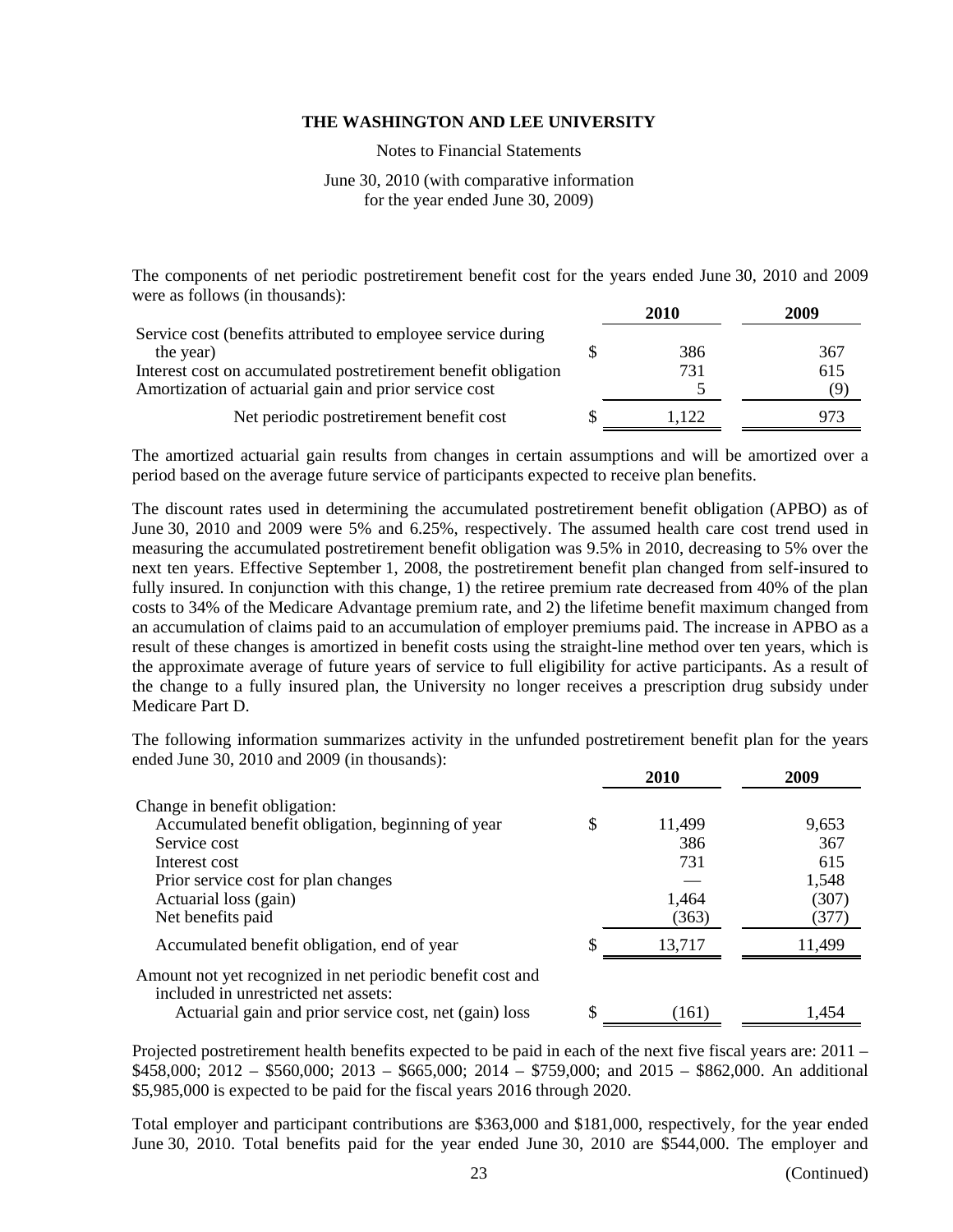Notes to Financial Statements

# June 30, 2010 (with comparative information for the year ended June 30, 2009)

The components of net periodic postretirement benefit cost for the years ended June 30, 2010 and 2009 were as follows (in thousands):

|                                                                | 2010  | 2009 |
|----------------------------------------------------------------|-------|------|
| Service cost (benefits attributed to employee service during   |       |      |
| the year)                                                      | 386   | 367  |
| Interest cost on accumulated postretirement benefit obligation | 731   | 615  |
| Amortization of actuarial gain and prior service cost          |       |      |
| Net periodic postretirement benefit cost                       | 1.122 |      |

The amortized actuarial gain results from changes in certain assumptions and will be amortized over a period based on the average future service of participants expected to receive plan benefits.

The discount rates used in determining the accumulated postretirement benefit obligation (APBO) as of June 30, 2010 and 2009 were 5% and 6.25%, respectively. The assumed health care cost trend used in measuring the accumulated postretirement benefit obligation was 9.5% in 2010, decreasing to 5% over the next ten years. Effective September 1, 2008, the postretirement benefit plan changed from self-insured to fully insured. In conjunction with this change, 1) the retiree premium rate decreased from 40% of the plan costs to 34% of the Medicare Advantage premium rate, and 2) the lifetime benefit maximum changed from an accumulation of claims paid to an accumulation of employer premiums paid. The increase in APBO as a result of these changes is amortized in benefit costs using the straight-line method over ten years, which is the approximate average of future years of service to full eligibility for active participants. As a result of the change to a fully insured plan, the University no longer receives a prescription drug subsidy under Medicare Part D.

The following information summarizes activity in the unfunded postretirement benefit plan for the years ended June 30, 2010 and 2009 (in thousands):

|                                                                                                    |   | 2010   | 2009   |
|----------------------------------------------------------------------------------------------------|---|--------|--------|
| Change in benefit obligation:                                                                      |   |        |        |
| Accumulated benefit obligation, beginning of year                                                  | S | 11,499 | 9,653  |
| Service cost                                                                                       |   | 386    | 367    |
| Interest cost                                                                                      |   | 731    | 615    |
| Prior service cost for plan changes                                                                |   |        | 1,548  |
| Actuarial loss (gain)                                                                              |   | 1,464  | (307)  |
| Net benefits paid                                                                                  |   | (363)  | (377)  |
| Accumulated benefit obligation, end of year                                                        | S | 13.717 | 11,499 |
| Amount not yet recognized in net periodic benefit cost and<br>included in unrestricted net assets: |   |        |        |
| Actuarial gain and prior service cost, net (gain) loss                                             |   | (161)  | 1.454  |

Projected postretirement health benefits expected to be paid in each of the next five fiscal years are: 2011 – \$458,000; 2012 – \$560,000; 2013 – \$665,000; 2014 – \$759,000; and 2015 – \$862,000. An additional \$5,985,000 is expected to be paid for the fiscal years 2016 through 2020.

Total employer and participant contributions are \$363,000 and \$181,000, respectively, for the year ended June 30, 2010. Total benefits paid for the year ended June 30, 2010 are \$544,000. The employer and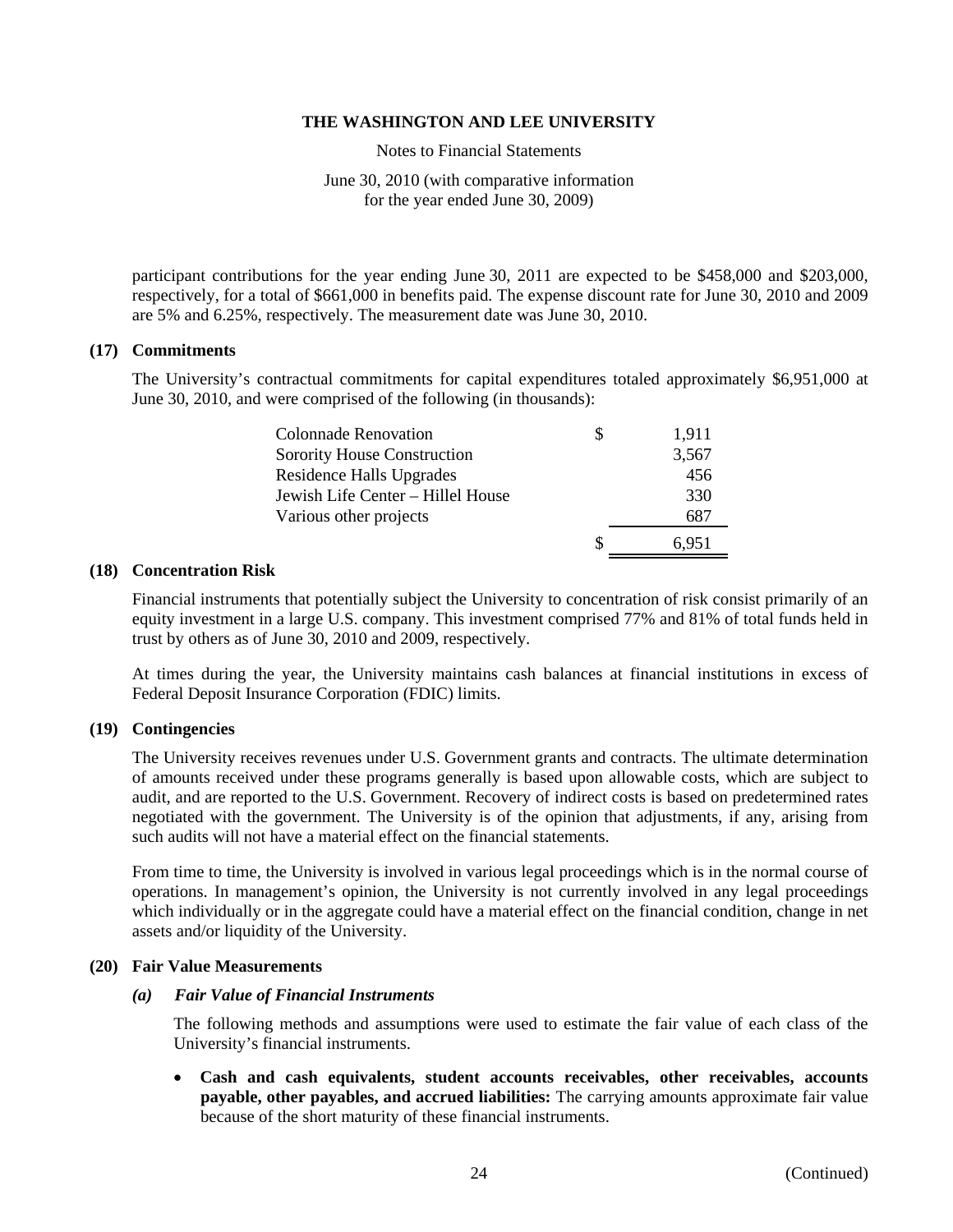Notes to Financial Statements

June 30, 2010 (with comparative information for the year ended June 30, 2009)

participant contributions for the year ending June 30, 2011 are expected to be \$458,000 and \$203,000, respectively, for a total of \$661,000 in benefits paid. The expense discount rate for June 30, 2010 and 2009 are 5% and 6.25%, respectively. The measurement date was June 30, 2010.

# **(17) Commitments**

The University's contractual commitments for capital expenditures totaled approximately \$6,951,000 at June 30, 2010, and were comprised of the following (in thousands):

| Colonnade Renovation              |   | 1,911 |
|-----------------------------------|---|-------|
| Sorority House Construction       |   | 3,567 |
| Residence Halls Upgrades          |   | 456   |
| Jewish Life Center - Hillel House |   | 330   |
| Various other projects            |   | 687   |
|                                   | S | 6.951 |

#### **(18) Concentration Risk**

Financial instruments that potentially subject the University to concentration of risk consist primarily of an equity investment in a large U.S. company. This investment comprised 77% and 81% of total funds held in trust by others as of June 30, 2010 and 2009, respectively.

At times during the year, the University maintains cash balances at financial institutions in excess of Federal Deposit Insurance Corporation (FDIC) limits.

#### **(19) Contingencies**

The University receives revenues under U.S. Government grants and contracts. The ultimate determination of amounts received under these programs generally is based upon allowable costs, which are subject to audit, and are reported to the U.S. Government. Recovery of indirect costs is based on predetermined rates negotiated with the government. The University is of the opinion that adjustments, if any, arising from such audits will not have a material effect on the financial statements.

From time to time, the University is involved in various legal proceedings which is in the normal course of operations. In management's opinion, the University is not currently involved in any legal proceedings which individually or in the aggregate could have a material effect on the financial condition, change in net assets and/or liquidity of the University.

# **(20) Fair Value Measurements**

#### *(a) Fair Value of Financial Instruments*

 The following methods and assumptions were used to estimate the fair value of each class of the University's financial instruments.

 **Cash and cash equivalents, student accounts receivables, other receivables, accounts payable, other payables, and accrued liabilities:** The carrying amounts approximate fair value because of the short maturity of these financial instruments.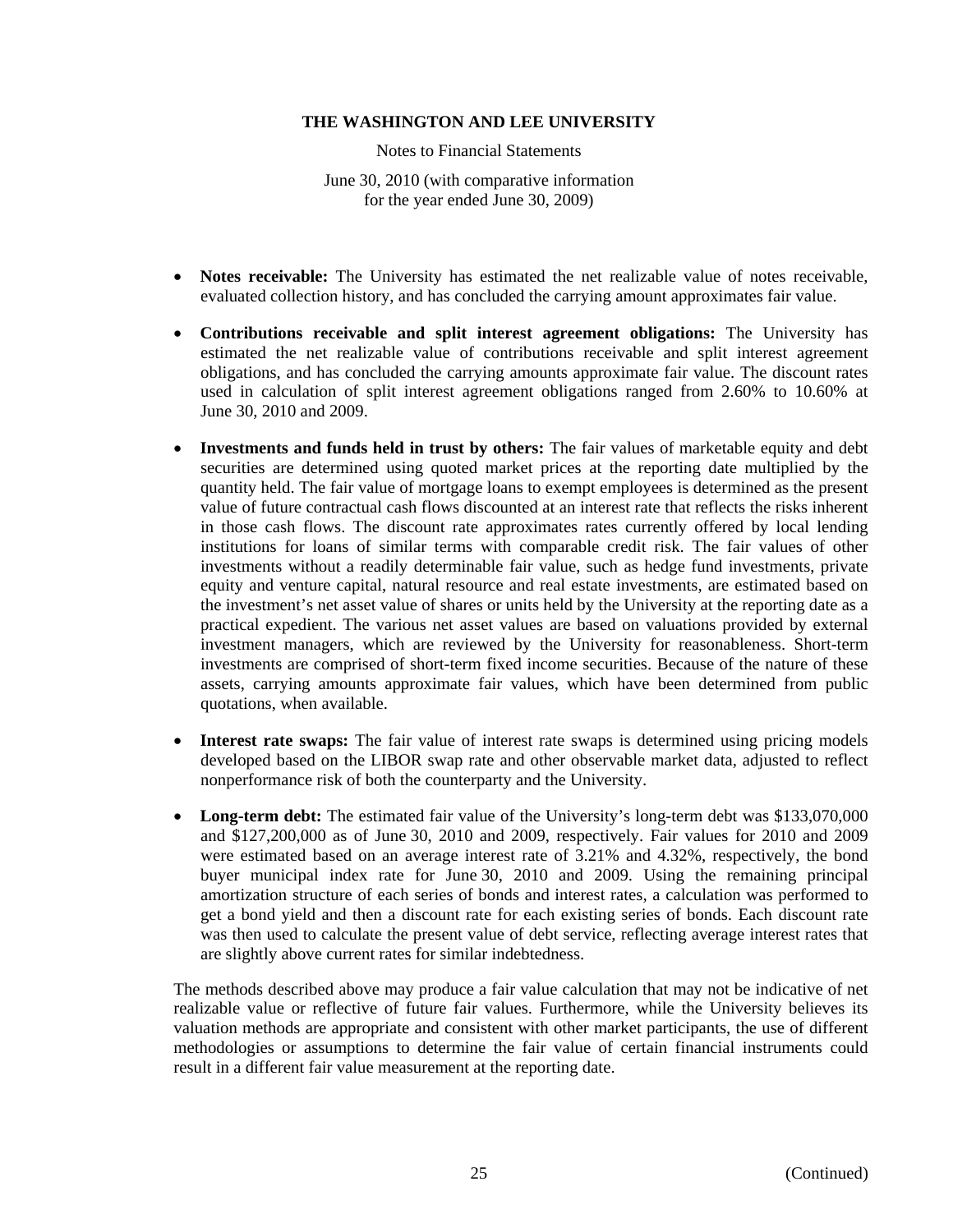Notes to Financial Statements

June 30, 2010 (with comparative information for the year ended June 30, 2009)

- **Notes receivable:** The University has estimated the net realizable value of notes receivable, evaluated collection history, and has concluded the carrying amount approximates fair value.
- **Contributions receivable and split interest agreement obligations:** The University has estimated the net realizable value of contributions receivable and split interest agreement obligations, and has concluded the carrying amounts approximate fair value. The discount rates used in calculation of split interest agreement obligations ranged from 2.60% to 10.60% at June 30, 2010 and 2009.
- **Investments and funds held in trust by others:** The fair values of marketable equity and debt securities are determined using quoted market prices at the reporting date multiplied by the quantity held. The fair value of mortgage loans to exempt employees is determined as the present value of future contractual cash flows discounted at an interest rate that reflects the risks inherent in those cash flows. The discount rate approximates rates currently offered by local lending institutions for loans of similar terms with comparable credit risk. The fair values of other investments without a readily determinable fair value, such as hedge fund investments, private equity and venture capital, natural resource and real estate investments, are estimated based on the investment's net asset value of shares or units held by the University at the reporting date as a practical expedient. The various net asset values are based on valuations provided by external investment managers, which are reviewed by the University for reasonableness. Short-term investments are comprised of short-term fixed income securities. Because of the nature of these assets, carrying amounts approximate fair values, which have been determined from public quotations, when available.
- **Interest rate swaps:** The fair value of interest rate swaps is determined using pricing models developed based on the LIBOR swap rate and other observable market data, adjusted to reflect nonperformance risk of both the counterparty and the University.
- Long-term debt: The estimated fair value of the University's long-term debt was \$133,070,000 and \$127,200,000 as of June 30, 2010 and 2009, respectively. Fair values for 2010 and 2009 were estimated based on an average interest rate of 3.21% and 4.32%, respectively, the bond buyer municipal index rate for June 30, 2010 and 2009. Using the remaining principal amortization structure of each series of bonds and interest rates, a calculation was performed to get a bond yield and then a discount rate for each existing series of bonds. Each discount rate was then used to calculate the present value of debt service, reflecting average interest rates that are slightly above current rates for similar indebtedness.

The methods described above may produce a fair value calculation that may not be indicative of net realizable value or reflective of future fair values. Furthermore, while the University believes its valuation methods are appropriate and consistent with other market participants, the use of different methodologies or assumptions to determine the fair value of certain financial instruments could result in a different fair value measurement at the reporting date.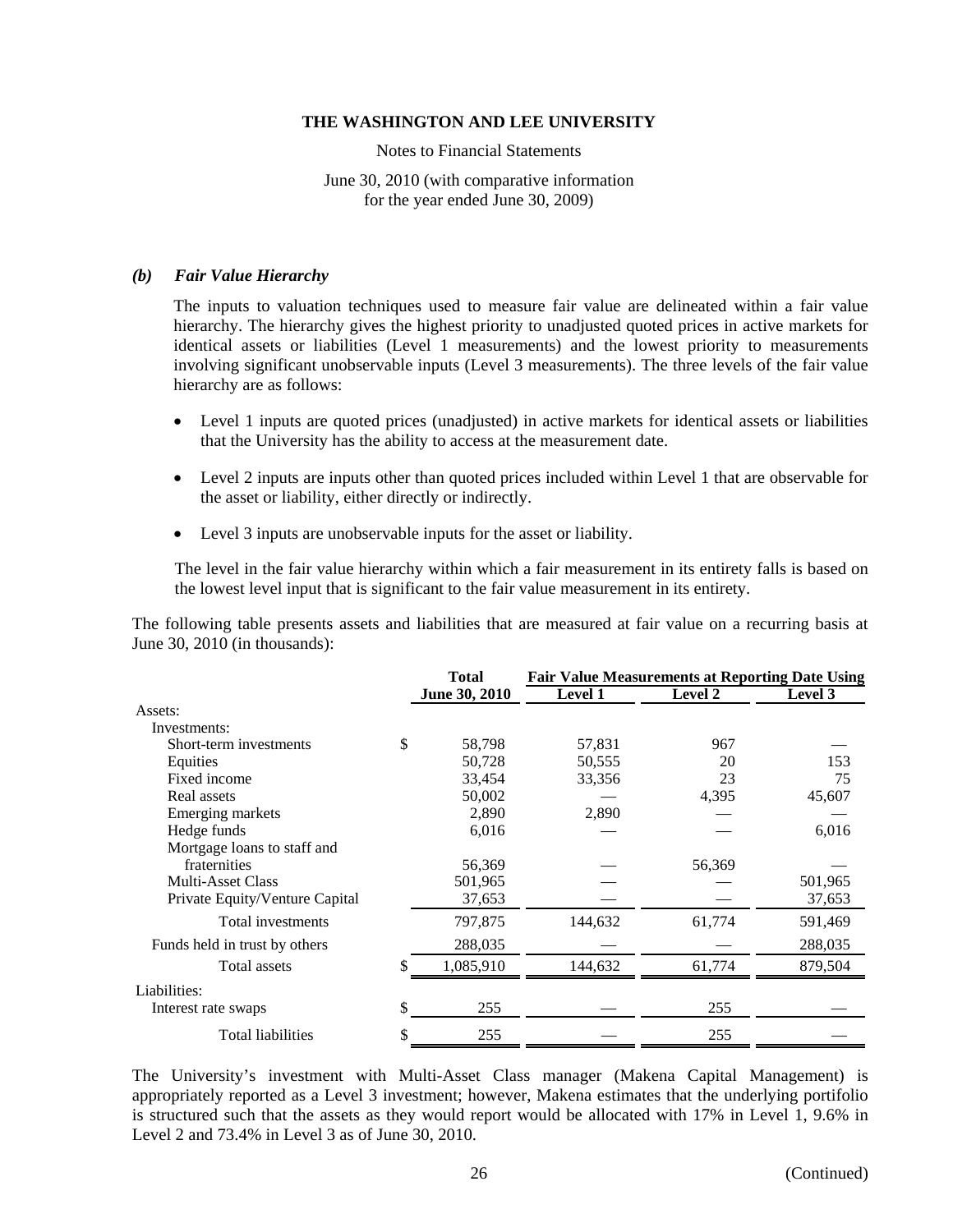Notes to Financial Statements

June 30, 2010 (with comparative information for the year ended June 30, 2009)

#### *(b) Fair Value Hierarchy*

The inputs to valuation techniques used to measure fair value are delineated within a fair value hierarchy. The hierarchy gives the highest priority to unadjusted quoted prices in active markets for identical assets or liabilities (Level 1 measurements) and the lowest priority to measurements involving significant unobservable inputs (Level 3 measurements). The three levels of the fair value hierarchy are as follows:

- Level 1 inputs are quoted prices (unadjusted) in active markets for identical assets or liabilities that the University has the ability to access at the measurement date.
- Level 2 inputs are inputs other than quoted prices included within Level 1 that are observable for the asset or liability, either directly or indirectly.
- Level 3 inputs are unobservable inputs for the asset or liability.

The level in the fair value hierarchy within which a fair measurement in its entirety falls is based on the lowest level input that is significant to the fair value measurement in its entirety.

The following table presents assets and liabilities that are measured at fair value on a recurring basis at June 30, 2010 (in thousands):

|                                | <b>Total</b>         | <b>Fair Value Measurements at Reporting Date Using</b> |         |         |  |
|--------------------------------|----------------------|--------------------------------------------------------|---------|---------|--|
|                                | <b>June 30, 2010</b> | <b>Level 1</b>                                         | Level 2 | Level 3 |  |
| Assets:                        |                      |                                                        |         |         |  |
| Investments:                   |                      |                                                        |         |         |  |
| Short-term investments         | \$<br>58,798         | 57,831                                                 | 967     |         |  |
| Equities                       | 50,728               | 50,555                                                 | 20      | 153     |  |
| Fixed income                   | 33,454               | 33,356                                                 | 23      | 75      |  |
| Real assets                    | 50,002               |                                                        | 4,395   | 45,607  |  |
| Emerging markets               | 2,890                | 2,890                                                  |         |         |  |
| Hedge funds                    | 6,016                |                                                        |         | 6,016   |  |
| Mortgage loans to staff and    |                      |                                                        |         |         |  |
| fraternities                   | 56,369               |                                                        | 56,369  |         |  |
| Multi-Asset Class              | 501,965              |                                                        |         | 501,965 |  |
| Private Equity/Venture Capital | 37,653               |                                                        |         | 37,653  |  |
| Total investments              | 797,875              | 144,632                                                | 61,774  | 591,469 |  |
| Funds held in trust by others  | 288,035              |                                                        |         | 288,035 |  |
| Total assets                   | 1,085,910            | 144,632                                                | 61,774  | 879,504 |  |
| Liabilities:                   |                      |                                                        |         |         |  |
| Interest rate swaps            | \$<br>255            |                                                        | 255     |         |  |
| <b>Total liabilities</b>       | 255                  |                                                        | 255     |         |  |

The University's investment with Multi-Asset Class manager (Makena Capital Management) is appropriately reported as a Level 3 investment; however, Makena estimates that the underlying portifolio is structured such that the assets as they would report would be allocated with 17% in Level 1, 9.6% in Level 2 and 73.4% in Level 3 as of June 30, 2010.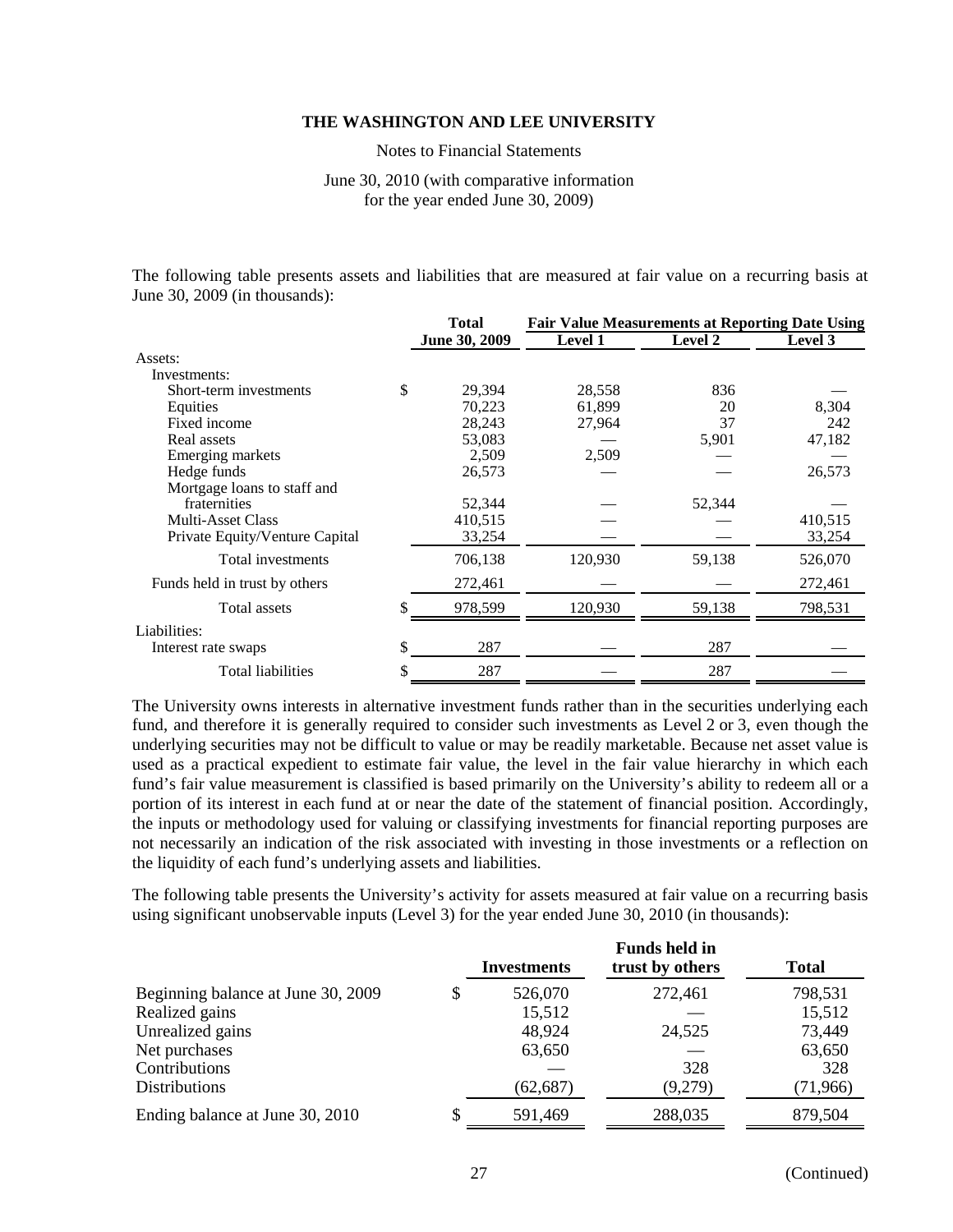Notes to Financial Statements

# June 30, 2010 (with comparative information for the year ended June 30, 2009)

The following table presents assets and liabilities that are measured at fair value on a recurring basis at June 30, 2009 (in thousands):

|                                | <b>Total</b>  | <b>Fair Value Measurements at Reporting Date Using</b> |         |         |  |
|--------------------------------|---------------|--------------------------------------------------------|---------|---------|--|
|                                | June 30, 2009 | <b>Level 1</b>                                         | Level 2 | Level 3 |  |
| Assets:                        |               |                                                        |         |         |  |
| Investments:                   |               |                                                        |         |         |  |
| Short-term investments         | \$<br>29,394  | 28,558                                                 | 836     |         |  |
| Equities                       | 70,223        | 61,899                                                 | 20      | 8,304   |  |
| Fixed income                   | 28,243        | 27,964                                                 | 37      | 242     |  |
| Real assets                    | 53,083        |                                                        | 5,901   | 47,182  |  |
| Emerging markets               | 2,509         | 2,509                                                  |         |         |  |
| Hedge funds                    | 26,573        |                                                        |         | 26,573  |  |
| Mortgage loans to staff and    |               |                                                        |         |         |  |
| fraternities                   | 52,344        |                                                        | 52,344  |         |  |
| <b>Multi-Asset Class</b>       | 410,515       |                                                        |         | 410,515 |  |
| Private Equity/Venture Capital | 33,254        |                                                        |         | 33,254  |  |
| Total investments              | 706,138       | 120,930                                                | 59,138  | 526,070 |  |
| Funds held in trust by others  | 272,461       |                                                        |         | 272,461 |  |
| Total assets                   | \$<br>978,599 | 120,930                                                | 59,138  | 798,531 |  |
| Liabilities:                   |               |                                                        |         |         |  |
| Interest rate swaps            | \$<br>287     |                                                        | 287     |         |  |
| <b>Total liabilities</b>       | \$<br>287     |                                                        | 287     |         |  |

The University owns interests in alternative investment funds rather than in the securities underlying each fund, and therefore it is generally required to consider such investments as Level 2 or 3, even though the underlying securities may not be difficult to value or may be readily marketable. Because net asset value is used as a practical expedient to estimate fair value, the level in the fair value hierarchy in which each fund's fair value measurement is classified is based primarily on the University's ability to redeem all or a portion of its interest in each fund at or near the date of the statement of financial position. Accordingly, the inputs or methodology used for valuing or classifying investments for financial reporting purposes are not necessarily an indication of the risk associated with investing in those investments or a reflection on the liquidity of each fund's underlying assets and liabilities.

The following table presents the University's activity for assets measured at fair value on a recurring basis using significant unobservable inputs (Level 3) for the year ended June 30, 2010 (in thousands):

|                                    |    | Investments | <b>Funds held in</b><br>trust by others | <b>Total</b> |  |
|------------------------------------|----|-------------|-----------------------------------------|--------------|--|
| Beginning balance at June 30, 2009 | \$ | 526,070     | 272,461                                 | 798,531      |  |
| Realized gains                     |    | 15,512      |                                         | 15,512       |  |
| Unrealized gains                   |    | 48,924      | 24,525                                  | 73,449       |  |
| Net purchases                      |    | 63,650      |                                         | 63,650       |  |
| Contributions                      |    |             | 328                                     | 328          |  |
| <b>Distributions</b>               |    | (62, 687)   | (9,279)                                 | (71, 966)    |  |
| Ending balance at June 30, 2010    | S  | 591,469     | 288,035                                 | 879,504      |  |